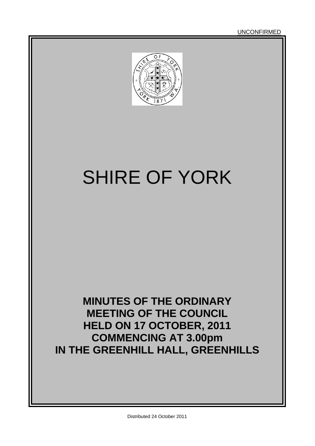

# SHIRE OF YORK

## **MINUTES OF THE ORDINARY MEETING OF THE COUNCIL HELD ON 17 OCTOBER, 2011 COMMENCING AT 3.00pm IN THE GREENHILL HALL, GREENHILLS**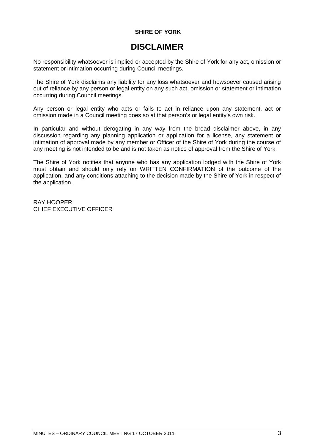#### **SHIRE OF YORK**

### **DISCLAIMER**

No responsibility whatsoever is implied or accepted by the Shire of York for any act, omission or statement or intimation occurring during Council meetings.

The Shire of York disclaims any liability for any loss whatsoever and howsoever caused arising out of reliance by any person or legal entity on any such act, omission or statement or intimation occurring during Council meetings.

Any person or legal entity who acts or fails to act in reliance upon any statement, act or omission made in a Council meeting does so at that person's or legal entity's own risk.

In particular and without derogating in any way from the broad disclaimer above, in any discussion regarding any planning application or application for a license, any statement or intimation of approval made by any member or Officer of the Shire of York during the course of any meeting is not intended to be and is not taken as notice of approval from the Shire of York.

The Shire of York notifies that anyone who has any application lodged with the Shire of York must obtain and should only rely on WRITTEN CONFIRMATION of the outcome of the application, and any conditions attaching to the decision made by the Shire of York in respect of the application.

RAY HOOPER CHIEF EXECUTIVE OFFICER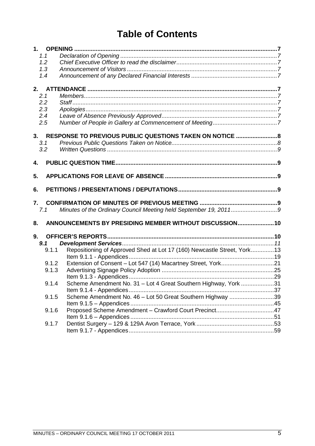### **Table of Contents**

| 1.1   |                                                                         |  |
|-------|-------------------------------------------------------------------------|--|
| 1.2   |                                                                         |  |
| 1.3   |                                                                         |  |
| 1.4   |                                                                         |  |
|       |                                                                         |  |
|       |                                                                         |  |
| 2.1   |                                                                         |  |
| 2.2   |                                                                         |  |
| 2.3   |                                                                         |  |
| 2.4   |                                                                         |  |
| 2.5   |                                                                         |  |
|       | 3. RESPONSE TO PREVIOUS PUBLIC QUESTIONS TAKEN ON NOTICE  8             |  |
| 3.1   |                                                                         |  |
| 3.2   |                                                                         |  |
|       |                                                                         |  |
| 4.    |                                                                         |  |
|       |                                                                         |  |
| 5.    |                                                                         |  |
|       |                                                                         |  |
| 6.    |                                                                         |  |
| 7.    |                                                                         |  |
| 7.1   | Minutes of the Ordinary Council Meeting held September 19, 20119        |  |
|       |                                                                         |  |
| 8.    | ANNOUNCEMENTS BY PRESIDING MEMBER WITHOUT DISCUSSION 10                 |  |
| 9.    |                                                                         |  |
| 9.1   |                                                                         |  |
| 9.1.1 |                                                                         |  |
|       | Repositioning of Approved Shed at Lot 17 (160) Newcastle Street, York13 |  |
| 9.1.2 |                                                                         |  |
| 9.1.3 |                                                                         |  |
|       |                                                                         |  |
|       |                                                                         |  |
| 9.1.4 | Scheme Amendment No. 31 - Lot 4 Great Southern Highway, York 31         |  |
|       |                                                                         |  |
| 9.1.5 | Scheme Amendment No. 46 - Lot 50 Great Southern Highway 39              |  |
|       |                                                                         |  |
| 9.1.6 |                                                                         |  |
|       |                                                                         |  |
| 9.1.7 |                                                                         |  |
|       |                                                                         |  |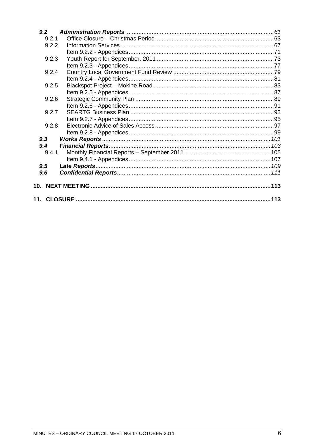| 9.2   |  |
|-------|--|
| 9.2.1 |  |
| 9.2.2 |  |
|       |  |
| 9.2.3 |  |
|       |  |
| 9.2.4 |  |
|       |  |
| 9.2.5 |  |
|       |  |
| 9.2.6 |  |
|       |  |
| 9.2.7 |  |
|       |  |
| 9.2.8 |  |
|       |  |
| 9.3   |  |
| 9.4   |  |
| 9.4.1 |  |
|       |  |
| 9.5   |  |
| 9.6   |  |
|       |  |
|       |  |
|       |  |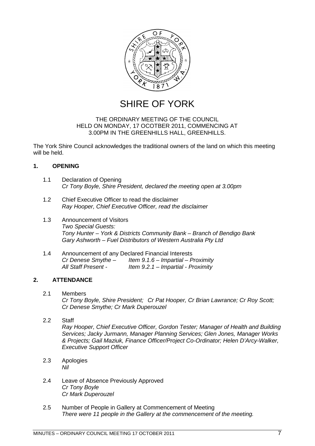

SHIRE OF YORK

#### THE ORDINARY MEETING OF THE COUNCIL HELD ON MONDAY, 17 OCOTBER 2011, COMMENCING AT 3.00PM IN THE GREENHILLS HALL, GREENHILLS.

The York Shire Council acknowledges the traditional owners of the land on which this meeting will be held.

#### <span id="page-6-0"></span>**1. OPENING**

- <span id="page-6-1"></span>1.1 Declaration of Opening *Cr Tony Boyle, Shire President, declared the meeting open at 3.00pm*
- <span id="page-6-2"></span>1.2 Chief Executive Officer to read the disclaimer *Ray Hooper, Chief Executive Officer, read the disclaimer*
- <span id="page-6-3"></span>1.3 Announcement of Visitors *Two Special Guests: Tony Hunter – York & Districts Community Bank – Branch of Bendigo Bank Gary Ashworth – Fuel Distributors of Western Australia Pty Ltd*
- <span id="page-6-4"></span>1.4 Announcement of any Declared Financial Interests *Cr Denese Smythe – Item 9.1.6 – Impartial – Proximity All Staff Present - Item 9.2.1 – Impartial - Proximity*

#### **2. ATTENDANCE**

- <span id="page-6-6"></span><span id="page-6-5"></span>2.1 Members *Cr Tony Boyle, Shire President; Cr Pat Hooper, Cr Brian Lawrance; Cr Roy Scott; Cr Denese Smythe; Cr Mark Duperouzel*
- <span id="page-6-7"></span>2.2 Staff *Ray Hooper, Chief Executive Officer, Gordon Tester; Manager of Health and Building Services; Jacky Jurmann, Manager Planning Services; Glen Jones, Manager Works & Projects; Gail Maziuk, Finance Officer/Project Co-Ordinator; Helen D'Arcy-Walker, Executive Support Officer*
- <span id="page-6-8"></span>2.3 Apologies *Nil*
- <span id="page-6-9"></span>2.4 Leave of Absence Previously Approved *Cr Tony Boyle Cr Mark Duperouzel*
- <span id="page-6-10"></span>2.5 Number of People in Gallery at Commencement of Meeting *There were 11 people in the Gallery at the commencement of the meeting.*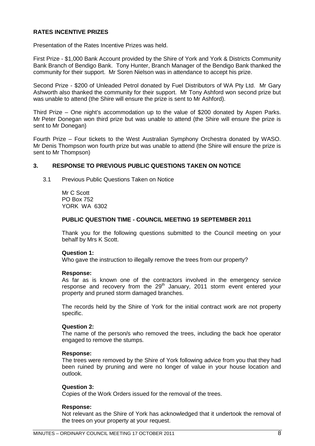#### **RATES INCENTIVE PRIZES**

Presentation of the Rates Incentive Prizes was held.

First Prize - \$1,000 Bank Account provided by the Shire of York and York & Districts Community Bank Branch of Bendigo Bank. Tony Hunter, Branch Manager of the Bendigo Bank thanked the community for their support. Mr Soren Nielson was in attendance to accept his prize.

Second Prize - \$200 of Unleaded Petrol donated by Fuel Distributors of WA Pty Ltd. Mr Gary Ashworth also thanked the community for their support. Mr Tony Ashford won second prize but was unable to attend (the Shire will ensure the prize is sent to Mr Ashford).

Third Prize – One night's accommodation up to the value of \$200 donated by Aspen Parks. Mr Peter Donegan won third prize but was unable to attend (the Shire will ensure the prize is sent to Mr Donegan)

Fourth Prize – Four tickets to the West Australian Symphony Orchestra donated by WASO. Mr Denis Thompson won fourth prize but was unable to attend (the Shire will ensure the prize is sent to Mr Thompson)

#### **3. RESPONSE TO PREVIOUS PUBLIC QUESTIONS TAKEN ON NOTICE**

<span id="page-7-0"></span>3.1 Previous Public Questions Taken on Notice

<span id="page-7-1"></span>Mr C Scott PO Box 752 YORK WA 6302

#### **PUBLIC QUESTION TIME - COUNCIL MEETING 19 SEPTEMBER 2011**

Thank you for the following questions submitted to the Council meeting on your behalf by Mrs K Scott.

#### **Question 1:**

Who gave the instruction to illegally remove the trees from our property?

#### **Response:**

As far as is known one of the contractors involved in the emergency service response and recovery from the  $29<sup>th</sup>$  January, 2011 storm event entered your property and pruned storm damaged branches.

The records held by the Shire of York for the initial contract work are not property specific.

#### **Question 2:**

The name of the person/s who removed the trees, including the back hoe operator engaged to remove the stumps.

#### **Response:**

The trees were removed by the Shire of York following advice from you that they had been ruined by pruning and were no longer of value in your house location and outlook.

#### **Question 3:**

Copies of the Work Orders issued for the removal of the trees.

#### **Response:**

Not relevant as the Shire of York has acknowledged that it undertook the removal of the trees on your property at your request.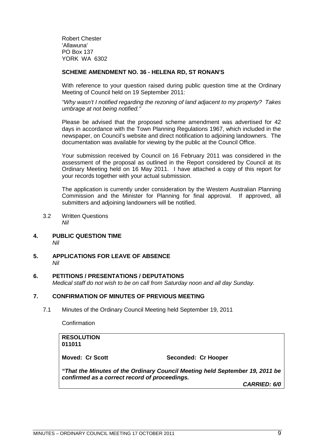Robert Chester 'Allawuna' PO Box 137 YORK WA 6302

#### **SCHEME AMENDMENT NO. 36 - HELENA RD, ST RONAN'S**

With reference to your question raised during public question time at the Ordinary Meeting of Council held on 19 September 2011:

*"Why wasn't I notified regarding the rezoning of land adjacent to my property? Takes umbrage at not being notified."*

Please be advised that the proposed scheme amendment was advertised for 42 days in accordance with the Town Planning Regulations 1967, which included in the newspaper, on Council's website and direct notification to adjoining landowners. The documentation was available for viewing by the public at the Council Office.

Your submission received by Council on 16 February 2011 was considered in the assessment of the proposal as outlined in the Report considered by Council at its Ordinary Meeting held on 16 May 2011. I have attached a copy of this report for your records together with your actual submission.

The application is currently under consideration by the Western Australian Planning Commission and the Minister for Planning for final approval. If approved, all submitters and adjoining landowners will be notified.

- <span id="page-8-0"></span>3.2 Written Questions *Nil*
- <span id="page-8-1"></span>**4. PUBLIC QUESTION TIME** *Nil*
- <span id="page-8-2"></span>**5. APPLICATIONS FOR LEAVE OF ABSENCE** *Nil*

#### **6. PETITIONS / PRESENTATIONS / DEPUTATIONS**

<span id="page-8-4"></span><span id="page-8-3"></span>*Medical staff do not wish to be on call from Saturday noon and all day Sunday.*

#### **7. CONFIRMATION OF MINUTES OF PREVIOUS MEETING**

7.1 Minutes of the Ordinary Council Meeting held September 19, 2011

<span id="page-8-5"></span>Confirmation

**RESOLUTION 011011 Moved: Cr Scott Seconded: Cr Hooper** *"That the Minutes of the Ordinary Council Meeting held September 19, 2011 be confirmed as a correct record of proceedings. CARRIED: 6/0*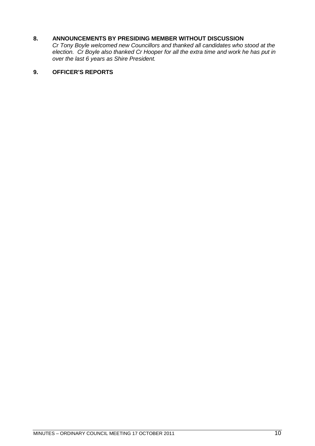### **8. ANNOUNCEMENTS BY PRESIDING MEMBER WITHOUT DISCUSSION**

<span id="page-9-0"></span>*Cr Tony Boyle welcomed new Councillors and thanked all candidates who stood at the election. Cr Boyle also thanked Cr Hooper for all the extra time and work he has put in over the last 6 years as Shire President.*

#### <span id="page-9-1"></span>**9. OFFICER'S REPORTS**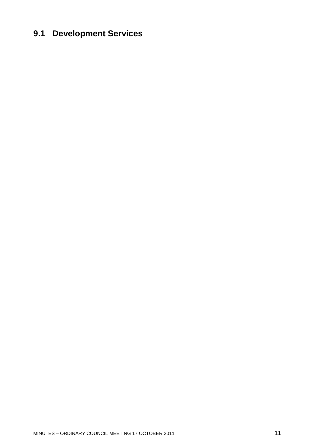### <span id="page-10-0"></span>**9.1 Development Services**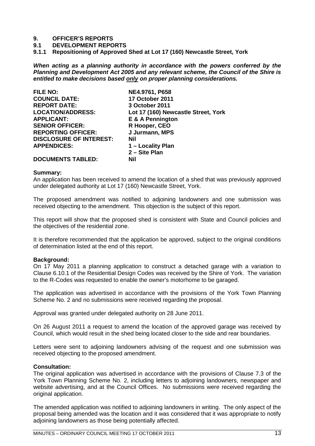#### **9. OFFICER'S REPORTS**

**9.1 DEVELOPMENT REPORTS**

<span id="page-12-0"></span>**9.1.1 Repositioning of Approved Shed at Lot 17 (160) Newcastle Street, York**

*When acting as a planning authority in accordance with the powers conferred by the Planning and Development Act 2005 and any relevant scheme, the Council of the Shire is entitled to make decisions based only on proper planning considerations.*

| <b>FILE NO:</b>                | NE4.9761, P658                      |
|--------------------------------|-------------------------------------|
| <b>COUNCIL DATE:</b>           | 17 October 2011                     |
| <b>REPORT DATE:</b>            | 3 October 2011                      |
| <b>LOCATION/ADDRESS:</b>       | Lot 17 (160) Newcastle Street, York |
| <b>APPLICANT:</b>              | E & A Pennington                    |
| <b>SENIOR OFFICER:</b>         | R Hooper, CEO                       |
| <b>REPORTING OFFICER:</b>      | J Jurmann, MPS                      |
| <b>DISCLOSURE OF INTEREST:</b> | Nil                                 |
| <b>APPENDICES:</b>             | 1 – Locality Plan                   |
|                                | 2 - Site Plan                       |
| <b>DOCUMENTS TABLED:</b>       | Nil                                 |

#### **Summary:**

An application has been received to amend the location of a shed that was previously approved under delegated authority at Lot 17 (160) Newcastle Street, York.

The proposed amendment was notified to adjoining landowners and one submission was received objecting to the amendment. This objection is the subject of this report.

This report will show that the proposed shed is consistent with State and Council policies and the objectives of the residential zone.

It is therefore recommended that the application be approved, subject to the original conditions of determination listed at the end of this report.

#### **Background:**

On 17 May 2011 a planning application to construct a detached garage with a variation to Clause 6.10.1 of the Residential Design Codes was received by the Shire of York. The variation to the R-Codes was requested to enable the owner's motorhome to be garaged.

The application was advertised in accordance with the provisions of the York Town Planning Scheme No. 2 and no submissions were received regarding the proposal.

Approval was granted under delegated authority on 28 June 2011.

On 26 August 2011 a request to amend the location of the approved garage was received by Council, which would result in the shed being located closer to the side and rear boundaries.

Letters were sent to adjoining landowners advising of the request and one submission was received objecting to the proposed amendment.

#### **Consultation:**

The original application was advertised in accordance with the provisions of Clause 7.3 of the York Town Planning Scheme No. 2, including letters to adjoining landowners, newspaper and website advertising, and at the Council Offices. No submissions were received regarding the original application.

The amended application was notified to adjoining landowners in writing. The only aspect of the proposal being amended was the location and it was considered that it was appropriate to notify adioining landowners as those being potentially affected.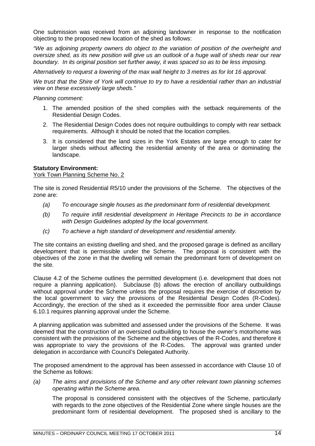One submission was received from an adjoining landowner in response to the notification objecting to the proposed new location of the shed as follows:

*"We as adjoining property owners do object to the variation of position of the overheight and oversize shed, as its new position will give us an outlook of a huge wall of sheds near our rear boundary. In its original position set further away, it was spaced so as to be less imposing.*

*Alternatively to request a lowering of the max wall height to 3 metres as for lot 16 approval.*

*We trust that the Shire of York will continue to try to have a residential rather than an industrial view on these excessively large sheds."*

*Planning comment:*

- 1. The amended position of the shed complies with the setback requirements of the Residential Design Codes.
- 2. The Residential Design Codes does not require outbuildings to comply with rear setback requirements. Although it should be noted that the location complies.
- 3. It is considered that the land sizes in the York Estates are large enough to cater for larger sheds without affecting the residential amenity of the area or dominating the landscape.

#### **Statutory Environment:**

York Town Planning Scheme No. 2

The site is zoned Residential R5/10 under the provisions of the Scheme. The objectives of the zone are:

- *(a) To encourage single houses as the predominant form of residential development.*
- *(b) To require infill residential development in Heritage Precincts to be in accordance with Design Guidelines adopted by the local government.*
- *(c) To achieve a high standard of development and residential amenity.*

The site contains an existing dwelling and shed, and the proposed garage is defined as ancillary development that is permissible under the Scheme. The proposal is consistent with the objectives of the zone in that the dwelling will remain the predominant form of development on the site.

Clause 4.2 of the Scheme outlines the permitted development (i.e. development that does not require a planning application). Subclause (b) allows the erection of ancillary outbuildings without approval under the Scheme unless the proposal requires the exercise of discretion by the local government to vary the provisions of the Residential Design Codes (R-Codes). Accordingly, the erection of the shed as it exceeded the permissible floor area under Clause 6.10.1 requires planning approval under the Scheme.

A planning application was submitted and assessed under the provisions of the Scheme. It was deemed that the construction of an oversized outbuilding to house the owner's motorhome was consistent with the provisions of the Scheme and the objectives of the R-Codes, and therefore it was appropriate to vary the provisions of the R-Codes. The approval was granted under delegation in accordance with Council's Delegated Authority.

The proposed amendment to the approval has been assessed in accordance with Clause 10 of the Scheme as follows:

*(a) The aims and provisions of the Scheme and any other relevant town planning schemes operating within the Scheme area.*

The proposal is considered consistent with the objectives of the Scheme, particularly with regards to the zone objectives of the Residential Zone where single houses are the predominant form of residential development. The proposed shed is ancillary to the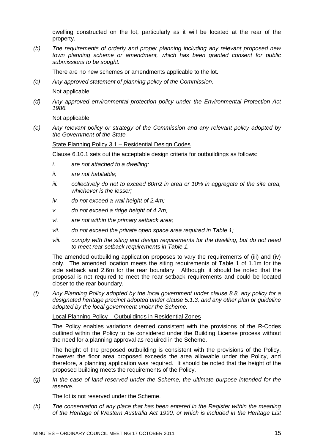dwelling constructed on the lot, particularly as it will be located at the rear of the property.

*(b) The requirements of orderly and proper planning including any relevant proposed new town planning scheme or amendment, which has been granted consent for public submissions to be sought.*

There are no new schemes or amendments applicable to the lot.

*(c) Any approved statement of planning policy of the Commission.*

Not applicable.

*(d) Any approved environmental protection policy under the Environmental Protection Act 1986.*

Not applicable.

*(e) Any relevant policy or strategy of the Commission and any relevant policy adopted by the Government of the State.*

#### State Planning Policy 3.1 – Residential Design Codes

Clause 6.10.1 sets out the acceptable design criteria for outbuildings as follows:

- *i. are not attached to a dwelling;*
- *ii. are not habitable;*
- *iii. collectively do not to exceed 60m2 in area or 10% in aggregate of the site area, whichever is the lesser;*
- *iv. do not exceed a wall height of 2.4m;*
- *v. do not exceed a ridge height of 4.2m;*
- *vi. are not within the primary setback area;*
- *vii. do not exceed the private open space area required in Table 1;*
- *viii. comply with the siting and design requirements for the dwelling, but do not need to meet rear setback requirements in Table 1.*

The amended outbuilding application proposes to vary the requirements of (iii) and (iv) only. The amended location meets the siting requirements of Table 1 of 1.1m for the side setback and 2.6m for the rear boundary. Although, it should be noted that the proposal is not required to meet the rear setback requirements and could be located closer to the rear boundary.

*(f) Any Planning Policy adopted by the local government under clause 8.8, any policy for a designated heritage precinct adopted under clause 5.1.3, and any other plan or guideline adopted by the local government under the Scheme.*

#### Local Planning Policy – Outbuildings in Residential Zones

The Policy enables variations deemed consistent with the provisions of the R-Codes outlined within the Policy to be considered under the Building License process without the need for a planning approval as required in the Scheme.

The height of the proposed outbuilding is consistent with the provisions of the Policy, however the floor area proposed exceeds the area allowable under the Policy, and therefore, a planning application was required. It should be noted that the height of the proposed building meets the requirements of the Policy.

*(g) In the case of land reserved under the Scheme, the ultimate purpose intended for the reserve.*

The lot is not reserved under the Scheme.

*(h) The conservation of any place that has been entered in the Register within the meaning of the Heritage of Western Australia Act 1990, or which is included in the Heritage List*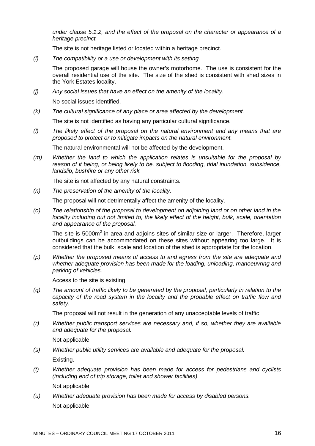*under clause 5.1.2, and the effect of the proposal on the character or appearance of a heritage precinct.*

The site is not heritage listed or located within a heritage precinct.

*(i) The compatibility or a use or development with its setting.*

The proposed garage will house the owner's motorhome. The use is consistent for the overall residential use of the site. The size of the shed is consistent with shed sizes in the York Estates locality.

*(j) Any social issues that have an effect on the amenity of the locality.*

No social issues identified.

*(k) The cultural significance of any place or area affected by the development.*

The site is not identified as having any particular cultural significance.

*(l) The likely effect of the proposal on the natural environment and any means that are proposed to protect or to mitigate impacts on the natural environment.*

The natural environmental will not be affected by the development.

*(m) Whether the land to which the application relates is unsuitable for the proposal by reason of it being, or being likely to be, subject to flooding, tidal inundation, subsidence, landslip, bushfire or any other risk.*

The site is not affected by any natural constraints.

*(n) The preservation of the amenity of the locality.*

The proposal will not detrimentally affect the amenity of the locality.

*(o) The relationship of the proposal to development on adjoining land or on other land in the locality including but not limited to, the likely effect of the height, bulk, scale, orientation and appearance of the proposal.*

The site is 5000 $m^2$  in area and adjoins sites of similar size or larger. Therefore, larger outbuildings can be accommodated on these sites without appearing too large. It is considered that the bulk, scale and location of the shed is appropriate for the location.

*(p) Whether the proposed means of access to and egress from the site are adequate and whether adequate provision has been made for the loading, unloading, manoeuvring and parking of vehicles.*

Access to the site is existing.

*(q) The amount of traffic likely to be generated by the proposal, particularly in relation to the capacity of the road system in the locality and the probable effect on traffic flow and safety.*

The proposal will not result in the generation of any unacceptable levels of traffic.

*(r) Whether public transport services are necessary and, if so, whether they are available and adequate for the proposal.*

Not applicable.

*(s) Whether public utility services are available and adequate for the proposal.*

Existing.

*(t) Whether adequate provision has been made for access for pedestrians and cyclists (including end of trip storage, toilet and shower facilities).*

Not applicable.

*(u) Whether adequate provision has been made for access by disabled persons.* Not applicable.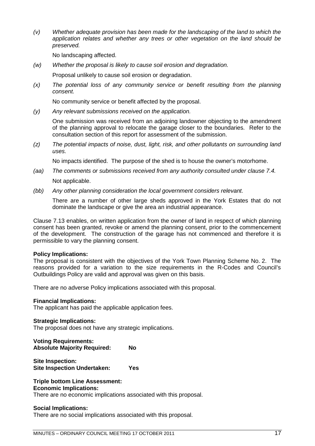*(v) Whether adequate provision has been made for the landscaping of the land to which the application relates and whether any trees or other vegetation on the land should be preserved.*

No landscaping affected.

*(w) Whether the proposal is likely to cause soil erosion and degradation.*

Proposal unlikely to cause soil erosion or degradation.

*(x) The potential loss of any community service or benefit resulting from the planning consent.*

No community service or benefit affected by the proposal.

*(y) Any relevant submissions received on the application.*

One submission was received from an adjoining landowner objecting to the amendment of the planning approval to relocate the garage closer to the boundaries. Refer to the consultation section of this report for assessment of the submission.

*(z) The potential impacts of noise, dust, light, risk, and other pollutants on surrounding land uses.*

No impacts identified. The purpose of the shed is to house the owner's motorhome.

- *(aa) The comments or submissions received from any authority consulted under clause 7.4.* Not applicable.
- *(bb) Any other planning consideration the local government considers relevant.*

There are a number of other large sheds approved in the York Estates that do not dominate the landscape or give the area an industrial appearance.

Clause 7.13 enables, on written application from the owner of land in respect of which planning consent has been granted, revoke or amend the planning consent, prior to the commencement of the development. The construction of the garage has not commenced and therefore it is permissible to vary the planning consent.

#### **Policy Implications:**

The proposal is consistent with the objectives of the York Town Planning Scheme No. 2. The reasons provided for a variation to the size requirements in the R-Codes and Council's Outbuildings Policy are valid and approval was given on this basis.

There are no adverse Policy implications associated with this proposal.

#### **Financial Implications:**

The applicant has paid the applicable application fees.

#### **Strategic Implications:**

The proposal does not have any strategic implications.

**Voting Requirements: Absolute Majority Required: No**

**Site Inspection: Site Inspection Undertaken: Yes**

#### **Triple bottom Line Assessment: Economic Implications:**

There are no economic implications associated with this proposal.

#### **Social Implications:**

There are no social implications associated with this proposal.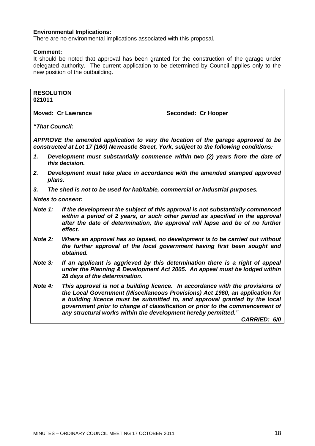#### **Environmental Implications:**

There are no environmental implications associated with this proposal.

#### **Comment:**

It should be noted that approval has been granted for the construction of the garage under delegated authority. The current application to be determined by Council applies only to the new position of the outbuilding.

**RESOLUTION 021011**

**Moved: Cr Lawrance Seconded: Cr Hooper** 

*"That Council:*

*APPROVE the amended application to vary the location of the garage approved to be constructed at Lot 17 (160) Newcastle Street, York, subject to the following conditions:*

- *1. Development must substantially commence within two (2) years from the date of this decision.*
- *2. Development must take place in accordance with the amended stamped approved plans.*
- *3. The shed is not to be used for habitable, commercial or industrial purposes.*

*Notes to consent:*

- *Note 1: If the development the subject of this approval is not substantially commenced within a period of 2 years, or such other period as specified in the approval after the date of determination, the approval will lapse and be of no further effect.*
- *Note 2: Where an approval has so lapsed, no development is to be carried out without the further approval of the local government having first been sought and obtained.*
- *Note 3: If an applicant is aggrieved by this determination there is a right of appeal under the Planning & Development Act 2005. An appeal must be lodged within 28 days of the determination.*
- *Note 4: This approval is not a building licence. In accordance with the provisions of the Local Government (Miscellaneous Provisions) Act 1960, an application for a building licence must be submitted to, and approval granted by the local government prior to change of classification or prior to the commencement of any structural works within the development hereby permitted."*

*CARRIED: 6/0*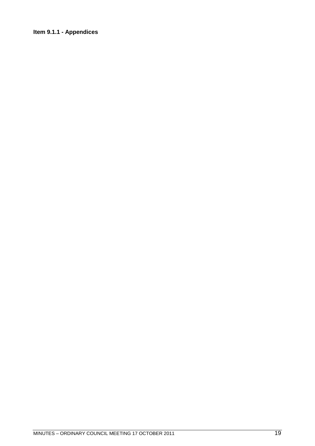### <span id="page-18-0"></span>**Item 9.1.1 - Appendices**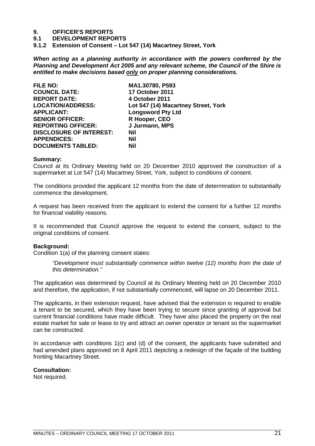# **9. OFFICER'S REPORTS**

**9.1 DEVELOPMENT REPORTS**

<span id="page-20-0"></span>**9.1.2 Extension of Consent – Lot 547 (14) Macartney Street, York**

*When acting as a planning authority in accordance with the powers conferred by the Planning and Development Act 2005 and any relevant scheme, the Council of the Shire is entitled to make decisions based only on proper planning considerations.*

| <b>FILE NO:</b>                | MA1.30780, P593                     |
|--------------------------------|-------------------------------------|
| <b>COUNCIL DATE:</b>           | 17 October 2011                     |
| <b>REPORT DATE:</b>            | 4 October 2011                      |
| <b>LOCATION/ADDRESS:</b>       | Lot 547 (14) Macartney Street, York |
| <b>APPLICANT:</b>              | <b>Longsword Pty Ltd</b>            |
| <b>SENIOR OFFICER:</b>         | R Hooper, CEO                       |
| <b>REPORTING OFFICER:</b>      | J Jurmann, MPS                      |
| <b>DISCLOSURE OF INTEREST:</b> | Nil                                 |
| <b>APPENDICES:</b>             | Nil                                 |
| <b>DOCUMENTS TABLED:</b>       | Nil                                 |

#### **Summary:**

Council at its Ordinary Meeting held on 20 December 2010 approved the construction of a supermarket at Lot 547 (14) Macartney Street, York, subject to conditions of consent.

The conditions provided the applicant 12 months from the date of determination to substantially commence the development.

A request has been received from the applicant to extend the consent for a further 12 months for financial viability reasons.

It is recommended that Council approve the request to extend the consent, subject to the original conditions of consent.

#### **Background:**

Condition 1(a) of the planning consent states:

*"Development must substantially commence within twelve (12) months from the date of this determination."*

The application was determined by Council at its Ordinary Meeting held on 20 December 2010 and therefore, the application, if not substantially commenced, will lapse on 20 December 2011.

The applicants, in their extension request, have advised that the extension is required to enable a tenant to be secured, which they have been trying to secure since granting of approval but current financial conditions have made difficult. They have also placed the property on the real estate market for sale or lease to try and attract an owner operator or tenant so the supermarket can be constructed.

In accordance with conditions 1(c) and (d) of the consent, the applicants have submitted and had amended plans approved on 8 April 2011 depicting a redesign of the façade of the building fronting Macartney Street.

**Consultation:**

Not required.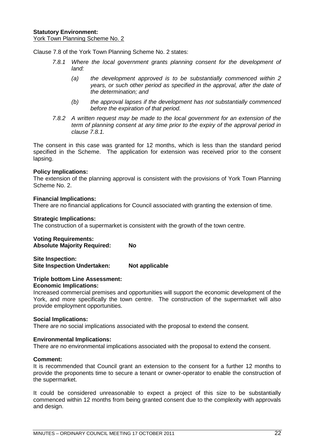Clause 7.8 of the York Town Planning Scheme No. 2 states:

- *7.8.1 Where the local government grants planning consent for the development of land:*
	- *(a) the development approved is to be substantially commenced within 2 years, or such other period as specified in the approval, after the date of the determination; and*
	- *(b) the approval lapses if the development has not substantially commenced before the expiration of that period.*
- *7.8.2 A written request may be made to the local government for an extension of the term of planning consent at any time prior to the expiry of the approval period in clause 7.8.1.*

The consent in this case was granted for 12 months, which is less than the standard period specified in the Scheme. The application for extension was received prior to the consent lapsing.

#### **Policy Implications:**

The extension of the planning approval is consistent with the provisions of York Town Planning Scheme No. 2.

#### **Financial Implications:**

There are no financial applications for Council associated with granting the extension of time.

#### **Strategic Implications:**

The construction of a supermarket is consistent with the growth of the town centre.

#### **Voting Requirements: Absolute Majority Required: No**

**Site Inspection: Site Inspection Undertaken: Not applicable**

#### **Triple bottom Line Assessment:**

#### **Economic Implications:**

Increased commercial premises and opportunities will support the economic development of the York, and more specifically the town centre. The construction of the supermarket will also provide employment opportunities.

#### **Social Implications:**

There are no social implications associated with the proposal to extend the consent.

#### **Environmental Implications:**

There are no environmental implications associated with the proposal to extend the consent.

#### **Comment:**

It is recommended that Council grant an extension to the consent for a further 12 months to provide the proponents time to secure a tenant or owner-operator to enable the construction of the supermarket.

It could be considered unreasonable to expect a project of this size to be substantially commenced within 12 months from being granted consent due to the complexity with approvals and design.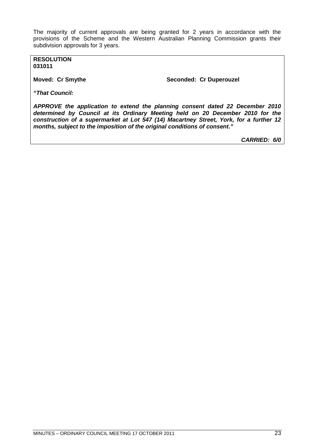The majority of current approvals are being granted for 2 years in accordance with the provisions of the Scheme and the Western Australian Planning Commission grants their subdivision approvals for 3 years.

**RESOLUTION 031011**

**Moved: Cr Smythe Seconded: Cr Duperouzel** 

*"That Council:*

*APPROVE the application to extend the planning consent dated 22 December 2010 determined by Council at its Ordinary Meeting held on 20 December 2010 for the construction of a supermarket at Lot 547 (14) Macartney Street, York, for a further 12 months, subject to the imposition of the original conditions of consent."*

*CARRIED: 6/0*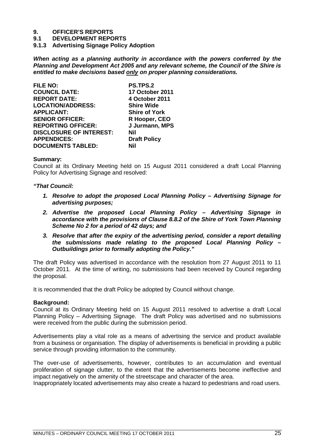# **9. OFFICER'S REPORTS**

**9.1 DEVELOPMENT REPORTS**

<span id="page-24-0"></span>**9.1.3 Advertising Signage Policy Adoption**

*When acting as a planning authority in accordance with the powers conferred by the Planning and Development Act 2005 and any relevant scheme, the Council of the Shire is entitled to make decisions based only on proper planning considerations.*

| <b>FILE NO:</b>                | PS.TPS.2               |
|--------------------------------|------------------------|
| <b>COUNCIL DATE:</b>           | <b>17 October 2011</b> |
| <b>REPORT DATE:</b>            | 4 October 2011         |
| <b>LOCATION/ADDRESS:</b>       | <b>Shire Wide</b>      |
| <b>APPLICANT:</b>              | <b>Shire of York</b>   |
| <b>SENIOR OFFICER:</b>         | R Hooper, CEO          |
| <b>REPORTING OFFICER:</b>      | J Jurmann, MPS         |
| <b>DISCLOSURE OF INTEREST:</b> | Nil                    |
| <b>APPENDICES:</b>             | <b>Draft Policy</b>    |
| <b>DOCUMENTS TABLED:</b>       | Nil                    |

#### **Summary:**

Council at its Ordinary Meeting held on 15 August 2011 considered a draft Local Planning Policy for Advertising Signage and resolved:

#### *"That Council:*

- *1. Resolve to adopt the proposed Local Planning Policy Advertising Signage for advertising purposes;*
- *2. Advertise the proposed Local Planning Policy Advertising Signage in accordance with the provisions of Clause 8.8.2 of the Shire of York Town Planning Scheme No 2 for a period of 42 days; and*
- *3. Resolve that after the expiry of the advertising period, consider a report detailing the submissions made relating to the proposed Local Planning Policy – Outbuildings prior to formally adopting the Policy."*

The draft Policy was advertised in accordance with the resolution from 27 August 2011 to 11 October 2011. At the time of writing, no submissions had been received by Council regarding the proposal.

It is recommended that the draft Policy be adopted by Council without change.

#### **Background:**

Council at its Ordinary Meeting held on 15 August 2011 resolved to advertise a draft Local Planning Policy – Advertising Signage. The draft Policy was advertised and no submissions were received from the public during the submission period.

Advertisements play a vital role as a means of advertising the service and product available from a business or organisation. The display of advertisements is beneficial in providing a public service through providing information to the community.

The over-use of advertisements, however, contributes to an accumulation and eventual proliferation of signage clutter, to the extent that the advertisements become ineffective and impact negatively on the amenity of the streetscape and character of the area.

Inappropriately located advertisements may also create a hazard to pedestrians and road users.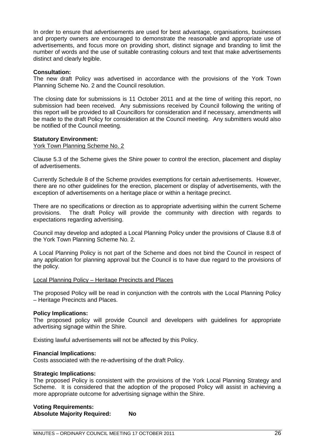In order to ensure that advertisements are used for best advantage, organisations, businesses and property owners are encouraged to demonstrate the reasonable and appropriate use of advertisements, and focus more on providing short, distinct signage and branding to limit the number of words and the use of suitable contrasting colours and text that make advertisements distinct and clearly legible.

#### **Consultation:**

The new draft Policy was advertised in accordance with the provisions of the York Town Planning Scheme No. 2 and the Council resolution.

The closing date for submissions is 11 October 2011 and at the time of writing this report, no submission had been received. Any submissions received by Council following the writing of this report will be provided to all Councillors for consideration and if necessary, amendments will be made to the draft Policy for consideration at the Council meeting. Any submitters would also be notified of the Council meeting.

#### **Statutory Environment:**

York Town Planning Scheme No. 2

Clause 5.3 of the Scheme gives the Shire power to control the erection, placement and display of advertisements.

Currently Schedule 8 of the Scheme provides exemptions for certain advertisements. However, there are no other guidelines for the erection, placement or display of advertisements, with the exception of advertisements on a heritage place or within a heritage precinct.

There are no specifications or direction as to appropriate advertising within the current Scheme provisions. The draft Policy will provide the community with direction with regards to expectations regarding advertising.

Council may develop and adopted a Local Planning Policy under the provisions of Clause 8.8 of the York Town Planning Scheme No. 2.

A Local Planning Policy is not part of the Scheme and does not bind the Council in respect of any application for planning approval but the Council is to have due regard to the provisions of the policy.

#### Local Planning Policy – Heritage Precincts and Places

The proposed Policy will be read in conjunction with the controls with the Local Planning Policy – Heritage Precincts and Places.

#### **Policy Implications:**

The proposed policy will provide Council and developers with guidelines for appropriate advertising signage within the Shire.

Existing lawful advertisements will not be affected by this Policy.

#### **Financial Implications:**

Costs associated with the re-advertising of the draft Policy.

#### **Strategic Implications:**

The proposed Policy is consistent with the provisions of the York Local Planning Strategy and Scheme. It is considered that the adoption of the proposed Policy will assist in achieving a more appropriate outcome for advertising signage within the Shire.

#### **Voting Requirements: Absolute Majority Required: No**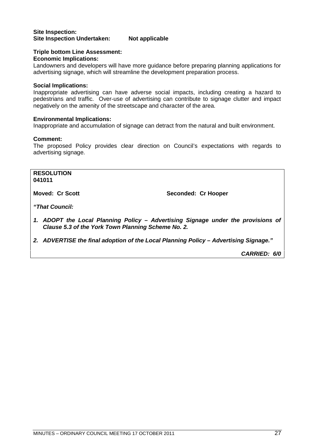#### **Site Inspection: Site Inspection Undertaken: Not applicable**

#### **Triple bottom Line Assessment:**

#### **Economic Implications:**

Landowners and developers will have more guidance before preparing planning applications for advertising signage, which will streamline the development preparation process.

#### **Social Implications:**

Inappropriate advertising can have adverse social impacts, including creating a hazard to pedestrians and traffic. Over-use of advertising can contribute to signage clutter and impact negatively on the amenity of the streetscape and character of the area.

#### **Environmental Implications:**

Inappropriate and accumulation of signage can detract from the natural and built environment.

#### **Comment:**

The proposed Policy provides clear direction on Council's expectations with regards to advertising signage.

**RESOLUTION 041011**

**Moved: Cr Scott** Seconded: Cr Hooper

*"That Council:*

- *1. ADOPT the Local Planning Policy Advertising Signage under the provisions of Clause 5.3 of the York Town Planning Scheme No. 2.*
- *2. ADVERTISE the final adoption of the Local Planning Policy Advertising Signage."*

*CARRIED: 6/0*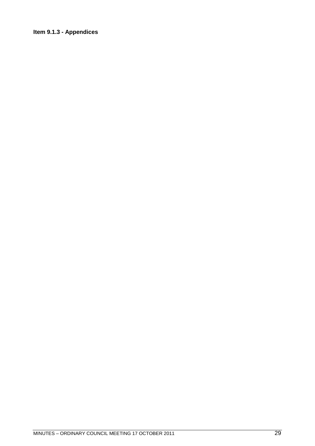### <span id="page-28-0"></span>**Item 9.1.3 - Appendices**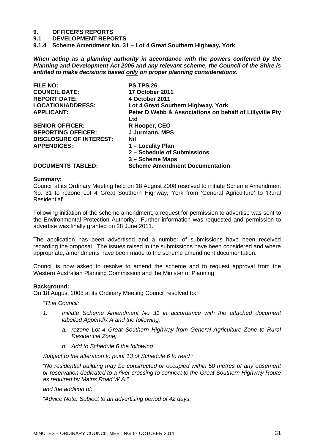# **9. OFFICER'S REPORTS**

- **9.1 DEVELOPMENT REPORTS**
- <span id="page-30-0"></span>**9.1.4 Scheme Amendment No. 31 – Lot 4 Great Southern Highway, York**

*When acting as a planning authority in accordance with the powers conferred by the Planning and Development Act 2005 and any relevant scheme, the Council of the Shire is entitled to make decisions based only on proper planning considerations.*

| <b>FILE NO:</b>                | <b>PS.TPS.26</b>                                               |
|--------------------------------|----------------------------------------------------------------|
| <b>COUNCIL DATE:</b>           | 17 October 2011                                                |
| <b>REPORT DATE:</b>            | 4 October 2011                                                 |
| <b>LOCATION/ADDRESS:</b>       | Lot 4 Great Southern Highway, York                             |
| <b>APPLICANT:</b>              | Peter D Webb & Associations on behalf of Lillyville Pty<br>Ltd |
| <b>SENIOR OFFICER:</b>         | R Hooper, CEO                                                  |
| <b>REPORTING OFFICER:</b>      | J Jurmann, MPS                                                 |
| <b>DISCLOSURE OF INTEREST:</b> | Nil                                                            |
| <b>APPENDICES:</b>             | 1 – Locality Plan                                              |
|                                | 2 - Schedule of Submissions                                    |
|                                | 3 – Scheme Maps                                                |
| <b>DOCUMENTS TABLED:</b>       | <b>Scheme Amendment Documentation</b>                          |

#### **Summary:**

Council at its Ordinary Meeting held on 18 August 2008 resolved to initiate Scheme Amendment No. 31 to rezone Lot 4 Great Southern Highway, York from 'General Agriculture' to 'Rural Residential'.

Following initiation of the scheme amendment, a request for permission to advertise was sent to the Environmental Protection Authority. Further information was requested and permission to advertise was finally granted on 28 June 2011.

The application has been advertised and a number of submissions have been received regarding the proposal. The issues raised in the submissions have been considered and where appropriate, amendments have been made to the scheme amendment documentation.

Council is now asked to resolve to amend the scheme and to request approval from the Western Australian Planning Commission and the Minister of Planning.

#### **Background:**

On 18 August 2008 at its Ordinary Meeting Council resolved to:

*"That Council:*

- *1. Initiate Scheme Amendment No 31 in accordance with the attached document labelled Appendix A and the following:*
	- *a. rezone Lot 4 Great Southern Highway from General Agriculture Zone to Rural Residential Zone;*
	- *b. Add to Schedule 6 the following:*

*Subject to the alteration to point 13 of Schedule 6 to read :*

*"No residential building may be constructed or occupied within 50 metres of any easement or reservation dedicated to a river crossing to connect to the Great Southern Highway Route as required by Mains Road W.A."*

*and the addition of:*

*"Advice Note: Subject to an advertising period of 42 days."*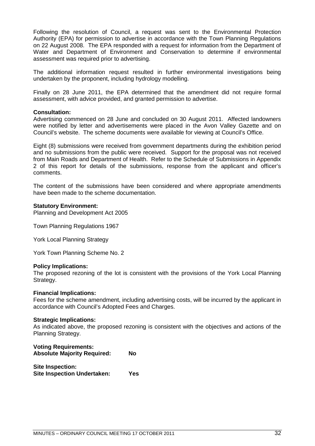Following the resolution of Council, a request was sent to the Environmental Protection Authority (EPA) for permission to advertise in accordance with the Town Planning Regulations on 22 August 2008. The EPA responded with a request for information from the Department of Water and Department of Environment and Conservation to determine if environmental assessment was required prior to advertising.

The additional information request resulted in further environmental investigations being undertaken by the proponent, including hydrology modelling.

Finally on 28 June 2011, the EPA determined that the amendment did not require formal assessment, with advice provided, and granted permission to advertise.

#### **Consultation:**

Advertising commenced on 28 June and concluded on 30 August 2011. Affected landowners were notified by letter and advertisements were placed in the Avon Valley Gazette and on Council's website. The scheme documents were available for viewing at Council's Office.

Eight (8) submissions were received from government departments during the exhibition period and no submissions from the public were received. Support for the proposal was not received from Main Roads and Department of Health. Refer to the Schedule of Submissions in Appendix 2 of this report for details of the submissions, response from the applicant and officer's comments.

The content of the submissions have been considered and where appropriate amendments have been made to the scheme documentation.

#### **Statutory Environment:**

Planning and Development Act 2005

Town Planning Regulations 1967

York Local Planning Strategy

York Town Planning Scheme No. 2

#### **Policy Implications:**

The proposed rezoning of the lot is consistent with the provisions of the York Local Planning Strategy.

#### **Financial Implications:**

Fees for the scheme amendment, including advertising costs, will be incurred by the applicant in accordance with Council's Adopted Fees and Charges.

#### **Strategic Implications:**

As indicated above, the proposed rezoning is consistent with the objectives and actions of the Planning Strategy.

| <b>Voting Requirements:</b><br><b>Absolute Majority Required:</b> | Nο  |
|-------------------------------------------------------------------|-----|
| <b>Site Inspection:</b><br><b>Site Inspection Undertaken:</b>     | Yes |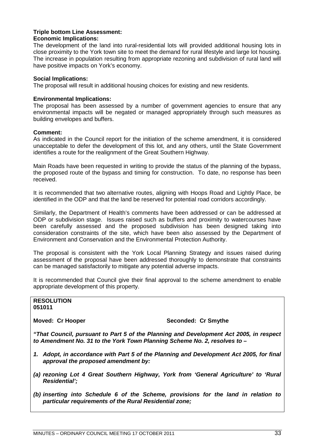#### **Triple bottom Line Assessment: Economic Implications:**

The development of the land into rural-residential lots will provided additional housing lots in close proximity to the York town site to meet the demand for rural lifestyle and large lot housing. The increase in population resulting from appropriate rezoning and subdivision of rural land will have positive impacts on York's economy.

#### **Social Implications:**

The proposal will result in additional housing choices for existing and new residents.

#### **Environmental Implications:**

The proposal has been assessed by a number of government agencies to ensure that any environmental impacts will be negated or managed appropriately through such measures as building envelopes and buffers.

#### **Comment:**

As indicated in the Council report for the initiation of the scheme amendment, it is considered unacceptable to defer the development of this lot, and any others, until the State Government identifies a route for the realignment of the Great Southern Highway.

Main Roads have been requested in writing to provide the status of the planning of the bypass, the proposed route of the bypass and timing for construction. To date, no response has been received.

It is recommended that two alternative routes, aligning with Hoops Road and Lightly Place, be identified in the ODP and that the land be reserved for potential road corridors accordingly.

Similarly, the Department of Health's comments have been addressed or can be addressed at ODP or subdivision stage. Issues raised such as buffers and proximity to watercourses have been carefully assessed and the proposed subdivision has been designed taking into consideration constraints of the site, which have been also assessed by the Department of Environment and Conservation and the Environmental Protection Authority.

The proposal is consistent with the York Local Planning Strategy and issues raised during assessment of the proposal have been addressed thoroughly to demonstrate that constraints can be managed satisfactorily to mitigate any potential adverse impacts.

It is recommended that Council give their final approval to the scheme amendment to enable appropriate development of this property.

#### **RESOLUTION 051011**

#### **Moved: Cr Hooper Seconded: Cr Smythe**

*"That Council, pursuant to Part 5 of the Planning and Development Act 2005, in respect to Amendment No. 31 to the York Town Planning Scheme No. 2, resolves to –*

- *1. Adopt, in accordance with Part 5 of the Planning and Development Act 2005, for final approval the proposed amendment by:*
- *(a) rezoning Lot 4 Great Southern Highway, York from 'General Agriculture' to 'Rural Residential';*
- *(b) inserting into Schedule 6 of the Scheme, provisions for the land in relation to particular requirements of the Rural Residential zone;*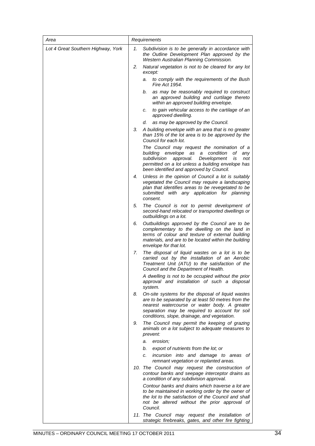| Area                               | Requirements |                                                                                                                                                                                                                                                           |
|------------------------------------|--------------|-----------------------------------------------------------------------------------------------------------------------------------------------------------------------------------------------------------------------------------------------------------|
| Lot 4 Great Southern Highway, York | 1.           | Subdivision is to be generally in accordance with<br>the Outline Development Plan approved by the<br>Western Australian Planning Commission.                                                                                                              |
|                                    | 2.           | Natural vegetation is not to be cleared for any lot<br>except:                                                                                                                                                                                            |
|                                    |              | to comply with the requirements of the Bush<br>а.<br>Fire Act 1954.                                                                                                                                                                                       |
|                                    |              | as may be reasonably required to construct<br>b.<br>an approved building and curtilage thereto<br>within an approved building envelope.                                                                                                                   |
|                                    |              | to gain vehicular access to the cartilage of an<br>c.<br>approved dwelling.                                                                                                                                                                               |
|                                    |              | as may be approved by the Council.<br>d.                                                                                                                                                                                                                  |
|                                    | 3.           | A building envelope with an area that is no greater<br>than 15% of the lot area is to be approved by the<br>Council for each lot.                                                                                                                         |
|                                    |              | The Council may request the nomination of a<br>building envelope as<br>a condition<br>оf<br>any<br>subdivision<br>Development<br>approval.<br>is<br>not<br>permitted on a lot unless a building envelope has<br>been identified and approved by Council.  |
|                                    | 4.           | Unless in the opinion of Council a lot is suitably<br>vegetated the Council may require a landscaping<br>plan that identifies areas to be revegetated to be<br>submitted with any application for planning<br>consent.                                    |
|                                    | 5.           | The Council is not to permit development of<br>second-hand relocated or transported dwellings or<br>outbuildings on a lot.                                                                                                                                |
|                                    | 6.           | Outbuildings approved by the Council are to be<br>complementary to the dwelling on the land in<br>terms of colour and texture of external building<br>materials, and are to be located within the building<br>envelope for that lot.                      |
|                                    | 7.           | The disposal of liquid wastes on a lot is to be<br>carried out by the installation of an Aerobic<br>Treatment Unit (ATU) to the satisfaction of the<br>Council and the Department of Health.                                                              |
|                                    |              | A dwelling is not to be occupied without the prior<br>approval and installation of such a disposal<br>system.                                                                                                                                             |
|                                    | 8.           | On-site systems for the disposal of liquid wastes<br>are to be separated by at least 50 metres from the<br>nearest watercourse or water body. A greater<br>separation may be required to account for soil<br>conditions, slope, drainage, and vegetation. |
|                                    | 9.           | The Council may permit the keeping of grazing<br>animals on a lot subject to adequate measures to<br>prevent:                                                                                                                                             |
|                                    |              | erosion;<br>a.                                                                                                                                                                                                                                            |
|                                    |              | export of nutrients from the lot; or<br>b.                                                                                                                                                                                                                |
|                                    |              | incursion into and damage to areas of<br>c.<br>remnant vegetation or replanted areas.                                                                                                                                                                     |
|                                    |              | 10. The Council may request the construction of<br>contour banks and seepage interceptor drains as<br>a condition of any subdivision approval.                                                                                                            |
|                                    |              | Contour banks and drains which traverse a lot are<br>to be maintained in working order by the owner of<br>the lot to the satisfaction of the Council and shall<br>not be altered without the prior approval of<br>Council.                                |
|                                    |              | 11. The Council may request the installation of<br>strategic firebreaks, gates, and other fire fighting                                                                                                                                                   |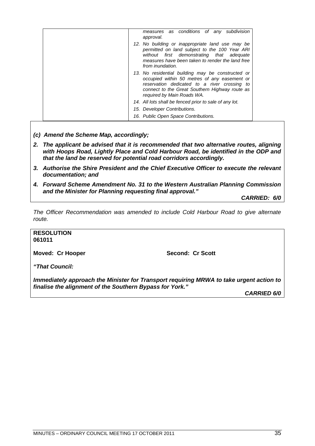| measures as conditions of any subdivision<br>approval.                                                                                                                                                                            |
|-----------------------------------------------------------------------------------------------------------------------------------------------------------------------------------------------------------------------------------|
| 12. No building or inappropriate land use may be<br>permitted on land subject to the 100 Year ARI<br>without first demonstrating that adequate<br>measures have been taken to render the land free<br>from inundation.            |
| 13. No residential building may be constructed or<br>occupied within 50 metres of any easement or<br>reservation dedicated to a river crossing to<br>connect to the Great Southern Highway route as<br>required by Main Roads WA. |
| 14. All lots shall be fenced prior to sale of any lot.                                                                                                                                                                            |
| 15. Developer Contributions.                                                                                                                                                                                                      |
| 16. Public Open Space Contributions.                                                                                                                                                                                              |

- *(c) Amend the Scheme Map, accordingly;*
- *2. The applicant be advised that it is recommended that two alternative routes, aligning with Hoops Road, Lightly Place and Cold Harbour Road, be identified in the ODP and that the land be reserved for potential road corridors accordingly.*
- *3. Authorise the Shire President and the Chief Executive Officer to execute the relevant documentation; and*
- *4. Forward Scheme Amendment No. 31 to the Western Australian Planning Commission and the Minister for Planning requesting final approval."*

*CARRIED: 6/0*

*The Officer Recommendation was amended to include Cold Harbour Road to give alternate route.*

#### **RESOLUTION 061011**

**Moved: Cr Hooper Second: Cr Scott** 

*"That Council:*

*Immediately approach the Minister for Transport requiring MRWA to take urgent action to finalise the alignment of the Southern Bypass for York."*

*CARRIED 6/0*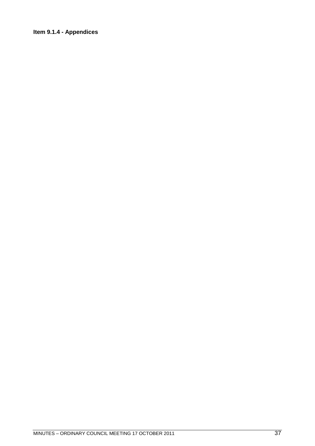### **Item 9.1.4 - Appendices**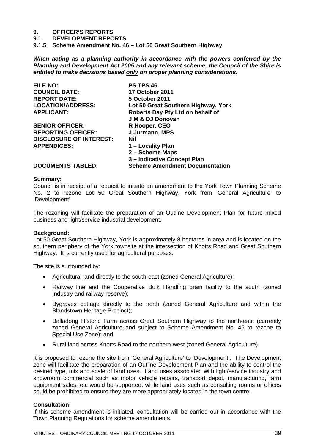# **9. OFFICER'S REPORTS**

- **9.1 DEVELOPMENT REPORTS**
- **9.1.5 Scheme Amendment No. 46 Lot 50 Great Southern Highway**

*When acting as a planning authority in accordance with the powers conferred by the Planning and Development Act 2005 and any relevant scheme, the Council of the Shire is entitled to make decisions based only on proper planning considerations.*

| <b>FILE NO:</b>                | <b>PS.TPS.46</b>                      |
|--------------------------------|---------------------------------------|
| <b>COUNCIL DATE:</b>           | <b>17 October 2011</b>                |
| <b>REPORT DATE:</b>            | 5 October 2011                        |
| <b>LOCATION/ADDRESS:</b>       | Lot 50 Great Southern Highway, York   |
| <b>APPLICANT:</b>              | Roberts Day Pty Ltd on behalf of      |
|                                | J M & DJ Donovan                      |
| <b>SENIOR OFFICER:</b>         | R Hooper, CEO                         |
| <b>REPORTING OFFICER:</b>      | J Jurmann, MPS                        |
| <b>DISCLOSURE OF INTEREST:</b> | Nil                                   |
| <b>APPENDICES:</b>             | 1 – Locality Plan                     |
|                                | 2 - Scheme Maps                       |
|                                | 3-Indicative Concept Plan             |
| <b>DOCUMENTS TABLED:</b>       | <b>Scheme Amendment Documentation</b> |

## **Summary:**

Council is in receipt of a request to initiate an amendment to the York Town Planning Scheme No. 2 to rezone Lot 50 Great Southern Highway, York from 'General Agriculture' to 'Development'.

The rezoning will facilitate the preparation of an Outline Development Plan for future mixed business and light/service industrial development.

### **Background:**

Lot 50 Great Southern Highway, York is approximately 8 hectares in area and is located on the southern periphery of the York townsite at the intersection of Knotts Road and Great Southern Highway. It is currently used for agricultural purposes.

The site is surrounded by:

- Agricultural land directly to the south-east (zoned General Agriculture);
- Railway line and the Cooperative Bulk Handling grain facility to the south (zoned Industry and railway reserve);
- Bygraves cottage directly to the north (zoned General Agriculture and within the Blandstown Heritage Precinct);
- Balladong Historic Farm across Great Southern Highway to the north-east (currently zoned General Agriculture and subject to Scheme Amendment No. 45 to rezone to Special Use Zone); and
- Rural land across Knotts Road to the northern-west (zoned General Agriculture).

It is proposed to rezone the site from 'General Agriculture' to 'Development'. The Development zone will facilitate the preparation of an Outline Development Plan and the ability to control the desired type, mix and scale of land uses. Land uses associated with light/service industry and showroom commercial such as motor vehicle repairs, transport depot, manufacturing, farm equipment sales, etc would be supported, while land uses such as consulting rooms or offices could be prohibited to ensure they are more appropriately located in the town centre.

### **Consultation:**

If this scheme amendment is initiated, consultation will be carried out in accordance with the Town Planning Regulations for scheme amendments.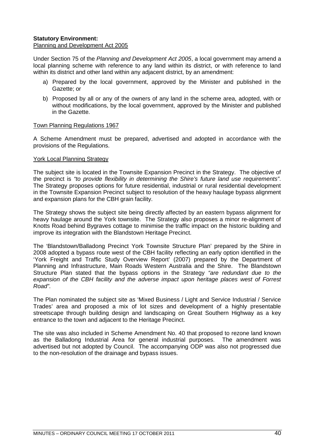## **Statutory Environment:**

### Planning and Development Act 2005

Under Section 75 of the *Planning and Development Act 2005*, a local government may amend a local planning scheme with reference to any land within its district, or with reference to land within its district and other land within any adjacent district, by an amendment:

- a) Prepared by the local government, approved by the Minister and published in the Gazette; or
- b) Proposed by all or any of the owners of any land in the scheme area, adopted, with or without modifications, by the local government, approved by the Minister and published in the Gazette.

### Town Planning Regulations 1967

A Scheme Amendment must be prepared, advertised and adopted in accordance with the provisions of the Regulations.

### York Local Planning Strategy

The subject site is located in the Townsite Expansion Precinct in the Strategy. The objective of the precinct is *"to provide flexibility in determining the Shire's future land use requirements"*. The Strategy proposes options for future residential, industrial or rural residential development in the Townsite Expansion Precinct subject to resolution of the heavy haulage bypass alignment and expansion plans for the CBH grain facility.

The Strategy shows the subject site being directly affected by an eastern bypass alignment for heavy haulage around the York townsite. The Strategy also proposes a minor re-alignment of Knotts Road behind Bygraves cottage to minimise the traffic impact on the historic building and improve its integration with the Blandstown Heritage Precinct.

The 'Blandstown/Balladong Precinct York Townsite Structure Plan' prepared by the Shire in 2008 adopted a bypass route west of the CBH facility reflecting an early option identified in the 'York Freight and Traffic Study Overview Report' (2007) prepared by the Department of Planning and Infrastructure, Main Roads Western Australia and the Shire. The Blandstown Structure Plan stated that the bypass options in the Strategy *"are redundant due to the expansion of the CBH facility and the adverse impact upon heritage places west of Forrest Road"*.

The Plan nominated the subject site as 'Mixed Business / Light and Service Industrial / Service Trades' area and proposed a mix of lot sizes and development of a highly presentable streetscape through building design and landscaping on Great Southern Highway as a key entrance to the town and adjacent to the Heritage Precinct.

The site was also included in Scheme Amendment No. 40 that proposed to rezone land known as the Balladong Industrial Area for general industrial purposes. The amendment was advertised but not adopted by Council. The accompanying ODP was also not progressed due to the non-resolution of the drainage and bypass issues.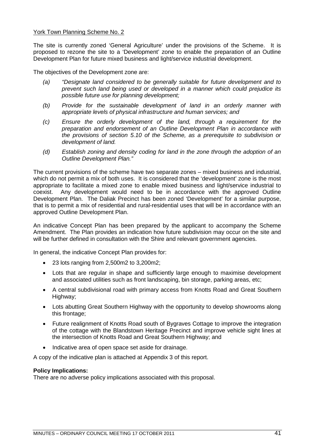### York Town Planning Scheme No. 2

The site is currently zoned 'General Agriculture' under the provisions of the Scheme. It is proposed to rezone the site to a 'Development' zone to enable the preparation of an Outline Development Plan for future mixed business and light/service industrial development.

The objectives of the Development zone are:

- *(a) "Designate land considered to be generally suitable for future development and to prevent such land being used or developed in a manner which could prejudice its possible future use for planning development;*
- *(b) Provide for the sustainable development of land in an orderly manner with appropriate levels of physical infrastructure and human services; and*
- *(c) Ensure the orderly development of the land, through a requirement for the preparation and endorsement of an Outline Development Plan in accordance with the provisions of section 5.10 of the Scheme, as a prerequisite to subdivision or development of land.*
- *(d) Establish zoning and density coding for land in the zone through the adoption of an Outline Development Plan."*

The current provisions of the scheme have two separate zones – mixed business and industrial, which do not permit a mix of both uses. It is considered that the 'development' zone is the most appropriate to facilitate a mixed zone to enable mixed business and light/service industrial to coexist. Any development would need to be in accordance with the approved Outline Development Plan. The Daliak Precinct has been zoned 'Development' for a similar purpose, that is to permit a mix of residential and rural-residential uses that will be in accordance with an approved Outline Development Plan.

An indicative Concept Plan has been prepared by the applicant to accompany the Scheme Amendment. The Plan provides an indication how future subdivision may occur on the site and will be further defined in consultation with the Shire and relevant government agencies.

In general, the indicative Concept Plan provides for:

- 23 lots ranging from 2,500m2 to 3,200m2;
- Lots that are regular in shape and sufficiently large enough to maximise development and associated utilities such as front landscaping, bin storage, parking areas, etc;
- A central subdivisional road with primary access from Knotts Road and Great Southern Highway;
- Lots abutting Great Southern Highway with the opportunity to develop showrooms along this frontage;
- Future realignment of Knotts Road south of Bygraves Cottage to improve the integration of the cottage with the Blandstown Heritage Precinct and improve vehicle sight lines at the intersection of Knotts Road and Great Southern Highway; and
- Indicative area of open space set aside for drainage.

A copy of the indicative plan is attached at Appendix 3 of this report.

### **Policy Implications:**

There are no adverse policy implications associated with this proposal.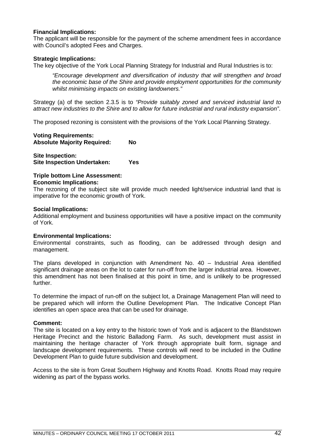### **Financial Implications:**

The applicant will be responsible for the payment of the scheme amendment fees in accordance with Council's adopted Fees and Charges.

### **Strategic Implications:**

The key objective of the York Local Planning Strategy for Industrial and Rural Industries is to:

*"Encourage development and diversification of industry that will strengthen and broad the economic base of the Shire and provide employment opportunities for the community whilst minimising impacts on existing landowners."*

Strategy (a) of the section 2.3.5 is to *"Provide suitably zoned and serviced industrial land to attract new industries to the Shire and to allow for future industrial and rural industry expansion"*.

The proposed rezoning is consistent with the provisions of the York Local Planning Strategy.

#### **Voting Requirements: Absolute Majority Required: No**

**Site Inspection: Site Inspection Undertaken: Yes**

### **Triple bottom Line Assessment: Economic Implications:**

The rezoning of the subject site will provide much needed light/service industrial land that is imperative for the economic growth of York.

### **Social Implications:**

Additional employment and business opportunities will have a positive impact on the community of York.

### **Environmental Implications:**

Environmental constraints, such as flooding, can be addressed through design and management.

The plans developed in conjunction with Amendment No. 40 – Industrial Area identified significant drainage areas on the lot to cater for run-off from the larger industrial area. However, this amendment has not been finalised at this point in time, and is unlikely to be progressed further.

To determine the impact of run-off on the subject lot, a Drainage Management Plan will need to be prepared which will inform the Outline Development Plan. The Indicative Concept Plan identifies an open space area that can be used for drainage.

### **Comment:**

The site is located on a key entry to the historic town of York and is adjacent to the Blandstown Heritage Precinct and the historic Balladong Farm. As such, development must assist in maintaining the heritage character of York through appropriate built form, signage and landscape development requirements. These controls will need to be included in the Outline Development Plan to guide future subdivision and development.

Access to the site is from Great Southern Highway and Knotts Road. Knotts Road may require widening as part of the bypass works.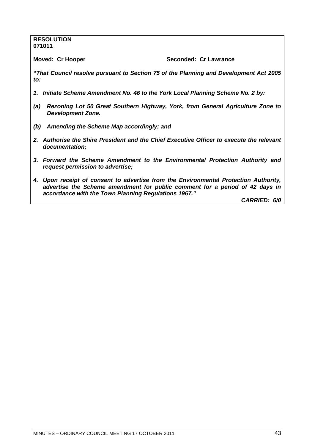#### **RESOLUTION 071011**

**Moved: Cr Hooper Seconded: Cr Lawrance** 

*"That Council resolve pursuant to Section 75 of the Planning and Development Act 2005 to:*

- *1. Initiate Scheme Amendment No. 46 to the York Local Planning Scheme No. 2 by:*
- *(a) Rezoning Lot 50 Great Southern Highway, York, from General Agriculture Zone to Development Zone.*
- *(b) Amending the Scheme Map accordingly; and*
- *2. Authorise the Shire President and the Chief Executive Officer to execute the relevant documentation;*
- *3. Forward the Scheme Amendment to the Environmental Protection Authority and request permission to advertise;*
- *4. Upon receipt of consent to advertise from the Environmental Protection Authority, advertise the Scheme amendment for public comment for a period of 42 days in accordance with the Town Planning Regulations 1967."*

*CARRIED: 6/0*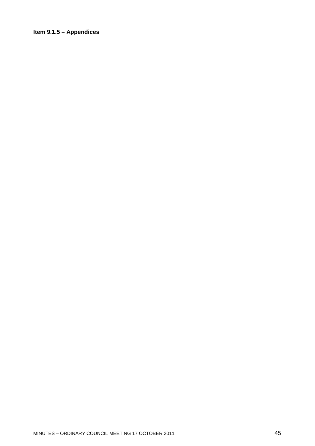### **Item 9.1.5 – Appendices**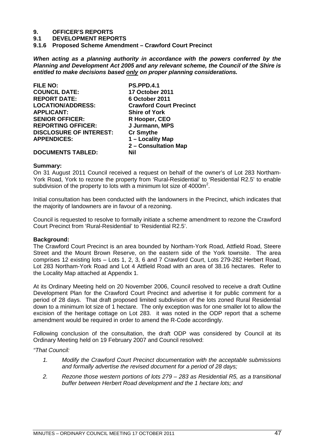# **9. OFFICER'S REPORTS**

**9.1 DEVELOPMENT REPORTS**

**9.1.6 Proposed Scheme Amendment – Crawford Court Precinct**

*When acting as a planning authority in accordance with the powers conferred by the Planning and Development Act 2005 and any relevant scheme, the Council of the Shire is entitled to make decisions based only on proper planning considerations.*

| <b>FILE NO:</b>                | <b>PS.PPD.4.1</b>              |
|--------------------------------|--------------------------------|
| <b>COUNCIL DATE:</b>           | 17 October 2011                |
| <b>REPORT DATE:</b>            | 6 October 2011                 |
| <b>LOCATION/ADDRESS:</b>       | <b>Crawford Court Precinct</b> |
| <b>APPLICANT:</b>              | <b>Shire of York</b>           |
| <b>SENIOR OFFICER:</b>         | R Hooper, CEO                  |
| <b>REPORTING OFFICER:</b>      | J Jurmann, MPS                 |
| <b>DISCLOSURE OF INTEREST:</b> | <b>Cr Smythe</b>               |
| <b>APPENDICES:</b>             | 1 - Locality Map               |
|                                | 2 - Consultation Map           |
| <b>DOCUMENTS TABLED:</b>       | Nil                            |

### **Summary:**

On 31 August 2011 Council received a request on behalf of the owner's of Lot 283 Northam-York Road, York to rezone the property from 'Rural-Residential' to 'Residential R2.5' to enable subdivision of the property to lots with a minimum lot size of 4000 $m^2$ .

Initial consultation has been conducted with the landowners in the Precinct, which indicates that the majority of landowners are in favour of a rezoning.

Council is requested to resolve to formally initiate a scheme amendment to rezone the Crawford Court Precinct from 'Rural-Residential' to 'Residential R2.5'.

### **Background:**

The Crawford Court Precinct is an area bounded by Northam-York Road, Attfield Road, Steere Street and the Mount Brown Reserve, on the eastern side of the York townsite. The area comprises 12 existing lots – Lots 1, 2, 3, 6 and 7 Crawford Court, Lots 279-282 Herbert Road, Lot 283 Northam-York Road and Lot 4 Attfield Road with an area of 38.16 hectares. Refer to the Locality Map attached at Appendix 1.

At its Ordinary Meeting held on 20 November 2006, Council resolved to receive a draft Outline Development Plan for the Crawford Court Precinct and advertise it for public comment for a period of 28 days. That draft proposed limited subdivision of the lots zoned Rural Residential down to a minimum lot size of 1 hectare. The only exception was for one smaller lot to allow the excision of the heritage cottage on Lot 283. it was noted in the ODP report that a scheme amendment would be required in order to amend the R-Code accordingly.

Following conclusion of the consultation, the draft ODP was considered by Council at its Ordinary Meeting held on 19 February 2007 and Council resolved:

### *"That Council:*

- *1. Modify the Crawford Court Precinct documentation with the acceptable submissions and formally advertise the revised document for a period of 28 days;*
- *2. Rezone those western portions of lots 279 283 as Residential R5, as a transitional buffer between Herbert Road development and the 1 hectare lots; and*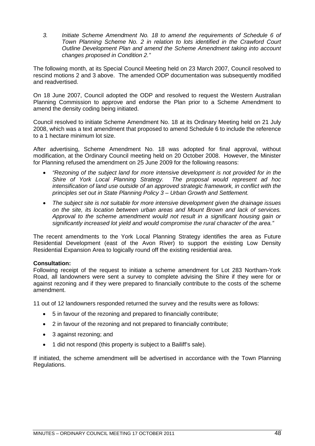*3. Initiate Scheme Amendment No. 18 to amend the requirements of Schedule 6 of Town Planning Scheme No. 2 in relation to lots identified in the Crawford Court Outline Development Plan and amend the Scheme Amendment taking into account changes proposed in Condition 2."*

The following month, at its Special Council Meeting held on 23 March 2007, Council resolved to rescind motions 2 and 3 above. The amended ODP documentation was subsequently modified and readvertised.

On 18 June 2007, Council adopted the ODP and resolved to request the Western Australian Planning Commission to approve and endorse the Plan prior to a Scheme Amendment to amend the density coding being initiated.

Council resolved to initiate Scheme Amendment No. 18 at its Ordinary Meeting held on 21 July 2008, which was a text amendment that proposed to amend Schedule 6 to include the reference to a 1 hectare minimum lot size.

After advertising, Scheme Amendment No. 18 was adopted for final approval, without modification, at the Ordinary Council meeting held on 20 October 2008. However, the Minister for Planning refused the amendment on 25 June 2009 for the following reasons:

- *"Rezoning of the subject land for more intensive development is not provided for in the Shire of York Local Planning Strategy. The proposal would represent ad hoc intensification of land use outside of an approved strategic framework, in conflict with the principles set out in State Planning Policy 3 – Urban Growth and Settlement.*
- *The subject site is not suitable for more intensive development given the drainage issues on the site, its location between urban areas and Mount Brown and lack of services. Approval to the scheme amendment would not result in a significant housing gain or significantly increased lot yield and would compromise the rural character of the area."*

The recent amendments to the York Local Planning Strategy identifies the area as Future Residential Development (east of the Avon River) to support the existing Low Density Residential Expansion Area to logically round off the existing residential area.

### **Consultation:**

Following receipt of the request to initiate a scheme amendment for Lot 283 Northam-York Road, all landowners were sent a survey to complete advising the Shire if they were for or against rezoning and if they were prepared to financially contribute to the costs of the scheme amendment.

11 out of 12 landowners responded returned the survey and the results were as follows:

- 5 in favour of the rezoning and prepared to financially contribute;
- 2 in favour of the rezoning and not prepared to financially contribute;
- 3 against rezoning; and
- 1 did not respond (this property is subject to a Bailiff's sale).

If initiated, the scheme amendment will be advertised in accordance with the Town Planning Regulations.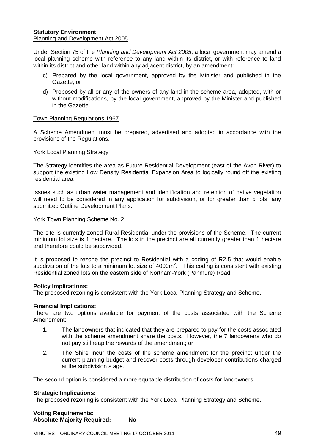### **Statutory Environment:** Planning and Development Act 2005

Under Section 75 of the *Planning and Development Act 2005*, a local government may amend a local planning scheme with reference to any land within its district, or with reference to land within its district and other land within any adjacent district, by an amendment:

- c) Prepared by the local government, approved by the Minister and published in the Gazette; or
- d) Proposed by all or any of the owners of any land in the scheme area, adopted, with or without modifications, by the local government, approved by the Minister and published in the Gazette.

### Town Planning Regulations 1967

A Scheme Amendment must be prepared, advertised and adopted in accordance with the provisions of the Regulations.

### York Local Planning Strategy

The Strategy identifies the area as Future Residential Development (east of the Avon River) to support the existing Low Density Residential Expansion Area to logically round off the existing residential area.

Issues such as urban water management and identification and retention of native vegetation will need to be considered in any application for subdivision, or for greater than 5 lots, any submitted Outline Development Plans.

### York Town Planning Scheme No. 2

The site is currently zoned Rural-Residential under the provisions of the Scheme. The current minimum lot size is 1 hectare. The lots in the precinct are all currently greater than 1 hectare and therefore could be subdivided.

It is proposed to rezone the precinct to Residential with a coding of R2.5 that would enable subdivision of the lots to a minimum lot size of 4000m<sup>2</sup>. This coding is consistent with existing Residential zoned lots on the eastern side of Northam-York (Panmure) Road.

### **Policy Implications:**

The proposed rezoning is consistent with the York Local Planning Strategy and Scheme.

### **Financial Implications:**

There are two options available for payment of the costs associated with the Scheme Amendment:

- 1. The landowners that indicated that they are prepared to pay for the costs associated with the scheme amendment share the costs. However, the 7 landowners who do not pay still reap the rewards of the amendment; or
- 2. The Shire incur the costs of the scheme amendment for the precinct under the current planning budget and recover costs through developer contributions charged at the subdivision stage.

The second option is considered a more equitable distribution of costs for landowners.

### **Strategic Implications:**

The proposed rezoning is consistent with the York Local Planning Strategy and Scheme.

| <b>Voting Requirements:</b>        |           |
|------------------------------------|-----------|
| <b>Absolute Majority Required:</b> | <b>No</b> |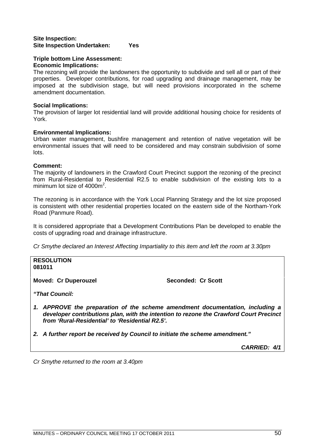### **Site Inspection: Site Inspection Undertaken: Yes**

### **Triple bottom Line Assessment: Economic Implications:**

The rezoning will provide the landowners the opportunity to subdivide and sell all or part of their properties. Developer contributions, for road upgrading and drainage management, may be imposed at the subdivision stage, but will need provisions incorporated in the scheme amendment documentation.

### **Social Implications:**

The provision of larger lot residential land will provide additional housing choice for residents of York.

### **Environmental Implications:**

Urban water management, bushfire management and retention of native vegetation will be environmental issues that will need to be considered and may constrain subdivision of some lots.

### **Comment:**

The majority of landowners in the Crawford Court Precinct support the rezoning of the precinct from Rural-Residential to Residential R2.5 to enable subdivision of the existing lots to a minimum lot size of  $4000m^2$ .

The rezoning is in accordance with the York Local Planning Strategy and the lot size proposed is consistent with other residential properties located on the eastern side of the Northam-York Road (Panmure Road).

It is considered appropriate that a Development Contributions Plan be developed to enable the costs of upgrading road and drainage infrastructure.

*Cr Smythe declared an Interest Affecting Impartiality to this item and left the room at 3.30pm*

**RESOLUTION 081011**

Moved: Cr Duperouzel **Seconded: Cr Scott** 

*"That Council:*

- *1. APPROVE the preparation of the scheme amendment documentation, including a developer contributions plan, with the intention to rezone the Crawford Court Precinct from 'Rural-Residential' to 'Residential R2.5'.*
- *2. A further report be received by Council to initiate the scheme amendment."*

*CARRIED: 4/1*

*Cr Smythe returned to the room at 3.40pm*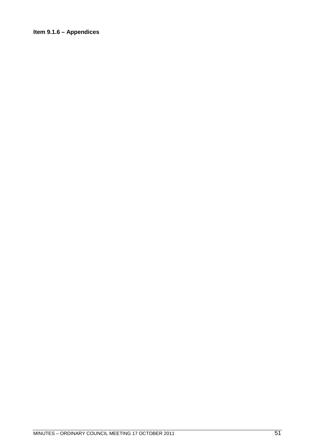### **Item 9.1.6 – Appendices**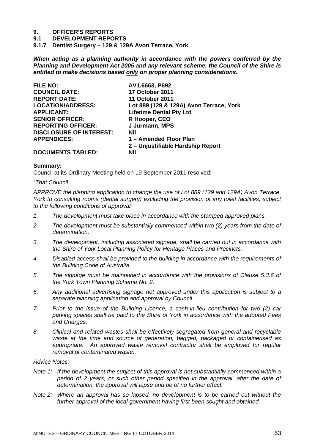# **9. OFFICER'S REPORTS**

**9.1 DEVELOPMENT REPORTS**

**9.1.7 Dentist Surgery – 129 & 129A Avon Terrace, York**

*When acting as a planning authority in accordance with the powers conferred by the Planning and Development Act 2005 and any relevant scheme, the Council of the Shire is entitled to make decisions based only on proper planning considerations.*

| AV1.6663, P692                          |
|-----------------------------------------|
| <b>17 October 2011</b>                  |
| <b>11 October 2011</b>                  |
| Lot 889 (129 & 129A) Avon Terrace, York |
| <b>Lifetime Dental Pty Ltd</b>          |
| R Hooper, CEO                           |
| J Jurmann, MPS                          |
| Nil                                     |
| 1 - Amended Floor Plan                  |
| 2 – Unjustifiable Hardship Report       |
| Nil                                     |
|                                         |

### **Summary:**

Council at its Ordinary Meeting held on 19 September 2011 resolved:

### *"That Council:*

*APPROVE the planning application to change the use of Lot 889 (129 and 129A) Avon Terrace, York to consulting rooms (dental surgery) excluding the provision of any toilet facilities, subject to the following conditions of approval:*

- *1. The development must take place in accordance with the stamped approved plans.*
- *2. The development must be substantially commenced within two (2) years from the date of determination.*
- *3. The development, including associated signage, shall be carried out in accordance with the Shire of York Local Planning Policy for Heritage Places and Precincts.*
- *4. Disabled access shall be provided to the building in accordance with the requirements of the Building Code of Australia.*
- *5. The signage must be maintained in accordance with the provisions of Clause 5.3.6 of the York Town Planning Scheme No. 2.*
- *6. Any additional advertising signage not approved under this application is subject to a separate planning application and approval by Council.*
- *7. Prior to the issue of the Building Licence, a cash-in-lieu contribution for two (2) car parking spaces shall be paid to the Shire of York in accordance with the adopted Fees and Charges.*
- *8. Clinical and related wastes shall be effectively segregated from general and recyclable waste at the time and source of generation, bagged, packaged or containerised as appropriate. An approved waste removal contractor shall be employed for regular removal of contaminated waste.*

*Advice Notes:*

- *Note 1: If the development the subject of this approval is not substantially commenced within a period of 2 years, or such other period specified in the approval, after the date of determination, the approval will lapse and be of no further effect.*
- *Note 2: Where an approval has so lapsed, no development is to be carried out without the further approval of the local government having first been sought and obtained.*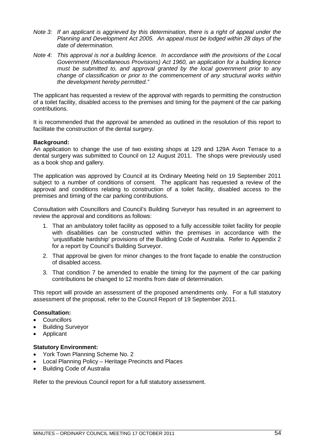- *Note 3: If an applicant is aggrieved by this determination, there is a right of appeal under the Planning and Development Act 2005. An appeal must be lodged within 28 days of the date of determination.*
- *Note 4: This approval is not a building licence. In accordance with the provisions of the Local Government (Miscellaneous Provisions) Act 1960, an application for a building licence must be submitted to, and approval granted by the local government prior to any change of classification or prior to the commencement of any structural works within the development hereby permitted."*

The applicant has requested a review of the approval with regards to permitting the construction of a toilet facility, disabled access to the premises and timing for the payment of the car parking contributions.

It is recommended that the approval be amended as outlined in the resolution of this report to facilitate the construction of the dental surgery.

### **Background:**

An application to change the use of two existing shops at 129 and 129A Avon Terrace to a dental surgery was submitted to Council on 12 August 2011. The shops were previously used as a book shop and gallery.

The application was approved by Council at its Ordinary Meeting held on 19 September 2011 subject to a number of conditions of consent. The applicant has requested a review of the approval and conditions relating to construction of a toilet facility, disabled access to the premises and timing of the car parking contributions.

Consultation with Councillors and Council's Building Surveyor has resulted in an agreement to review the approval and conditions as follows:

- 1. That an ambulatory toilet facility as opposed to a fully accessible toilet facility for people with disabilities can be constructed within the premises in accordance with the 'unjustifiable hardship' provisions of the Building Code of Australia. Refer to Appendix 2 for a report by Council's Building Surveyor.
- 2. That approval be given for minor changes to the front façade to enable the construction of disabled access.
- 3. That condition 7 be amended to enable the timing for the payment of the car parking contributions be changed to 12 months from date of determination.

This report will provide an assessment of the proposed amendments only. For a full statutory assessment of the proposal, refer to the Council Report of 19 September 2011.

### **Consultation:**

- Councillors
- Building Surveyor
- Applicant

### **Statutory Environment:**

- York Town Planning Scheme No. 2
- Local Planning Policy Heritage Precincts and Places
- Building Code of Australia

Refer to the previous Council report for a full statutory assessment.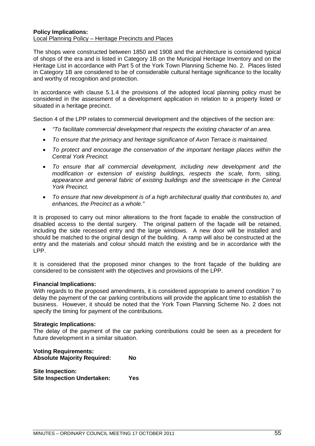### **Policy Implications:** Local Planning Policy – Heritage Precincts and Places

The shops were constructed between 1850 and 1908 and the architecture is considered typical of shops of the era and is listed in Category 1B on the Municipal Heritage Inventory and on the Heritage List in accordance with Part 5 of the York Town Planning Scheme No. 2. Places listed in Category 1B are considered to be of considerable cultural heritage significance to the locality and worthy of recognition and protection.

In accordance with clause 5.1.4 the provisions of the adopted local planning policy must be considered in the assessment of a development application in relation to a property listed or situated in a heritage precinct.

Section 4 of the LPP relates to commercial development and the objectives of the section are:

- *"To facilitate commercial development that respects the existing character of an area.*
- *To ensure that the primacy and heritage significance of Avon Terrace is maintained.*
- *To protect and encourage the conservation of the important heritage places within the Central York Precinct.*
- *To ensure that all commercial development, including new development and the modification or extension of existing buildings, respects the scale, form, siting, appearance and general fabric of existing buildings and the streetscape in the Central York Precinct.*
- *To ensure that new development is of a high architectural quality that contributes to, and enhances, the Precinct as a whole."*

It is proposed to carry out minor alterations to the front façade to enable the construction of disabled access to the dental surgery. The original pattern of the façade will be retained, including the side recessed entry and the large windows. A new door will be installed and should be matched to the original design of the building. A ramp will also be constructed at the entry and the materials and colour should match the existing and be in accordance with the LPP.

It is considered that the proposed minor changes to the front façade of the building are considered to be consistent with the objectives and provisions of the LPP.

### **Financial Implications:**

With regards to the proposed amendments, it is considered appropriate to amend condition 7 to delay the payment of the car parking contributions will provide the applicant time to establish the business. However, it should be noted that the York Town Planning Scheme No. 2 does not specify the timing for payment of the contributions.

### **Strategic Implications:**

The delay of the payment of the car parking contributions could be seen as a precedent for future development in a similar situation.

| <b>Voting Requirements:</b><br><b>Absolute Majority Required:</b> | Nο  |
|-------------------------------------------------------------------|-----|
| <b>Site Inspection:</b><br><b>Site Inspection Undertaken:</b>     | Yes |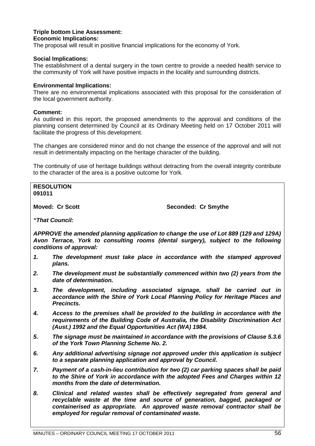### **Triple bottom Line Assessment: Economic Implications:**

The proposal will result in positive financial implications for the economy of York.

### **Social Implications:**

The establishment of a dental surgery in the town centre to provide a needed health service to the community of York will have positive impacts in the locality and surrounding districts.

### **Environmental Implications:**

There are no environmental implications associated with this proposal for the consideration of the local government authority.

### **Comment:**

As outlined in this report, the proposed amendments to the approval and conditions of the planning consent determined by Council at its Ordinary Meeting held on 17 October 2011 will facilitate the progress of this development.

The changes are considered minor and do not change the essence of the approval and will not result in detrimentally impacting on the heritage character of the building.

The continuity of use of heritage buildings without detracting from the overall integrity contribute to the character of the area is a positive outcome for York.

**RESOLUTION 091011**

**Moved: Cr Scott** Seconded: Cr Smythe

*"That Council:*

*APPROVE the amended planning application to change the use of Lot 889 (129 and 129A) Avon Terrace, York to consulting rooms (dental surgery), subject to the following conditions of approval:*

- *1. The development must take place in accordance with the stamped approved plans.*
- *2. The development must be substantially commenced within two (2) years from the date of determination.*
- *3. The development, including associated signage, shall be carried out in accordance with the Shire of York Local Planning Policy for Heritage Places and Precincts.*
- *4. Access to the premises shall be provided to the building in accordance with the requirements of the Building Code of Australia, the Disability Discrimination Act (Aust.) 1992 and the Equal Opportunities Act (WA) 1984.*
- *5. The signage must be maintained in accordance with the provisions of Clause 5.3.6 of the York Town Planning Scheme No. 2.*
- *6. Any additional advertising signage not approved under this application is subject to a separate planning application and approval by Council.*
- *7. Payment of a cash-in-lieu contribution for two (2) car parking spaces shall be paid to the Shire of York in accordance with the adopted Fees and Charges within 12 months from the date of determination.*
- *8. Clinical and related wastes shall be effectively segregated from general and recyclable waste at the time and source of generation, bagged, packaged or containerised as appropriate. An approved waste removal contractor shall be employed for regular removal of contaminated waste.*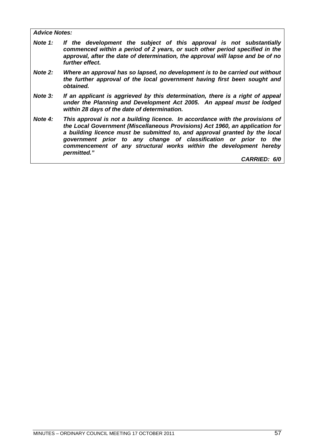*Advice Notes:*

- *Note 1: If the development the subject of this approval is not substantially commenced within a period of 2 years, or such other period specified in the approval, after the date of determination, the approval will lapse and be of no further effect.*
- *Note 2: Where an approval has so lapsed, no development is to be carried out without the further approval of the local government having first been sought and obtained.*
- *Note 3: If an applicant is aggrieved by this determination, there is a right of appeal under the Planning and Development Act 2005. An appeal must be lodged within 28 days of the date of determination.*
- *Note 4: This approval is not a building licence. In accordance with the provisions of the Local Government (Miscellaneous Provisions) Act 1960, an application for a building licence must be submitted to, and approval granted by the local government prior to any change of classification or prior to the commencement of any structural works within the development hereby permitted."*

*CARRIED: 6/0*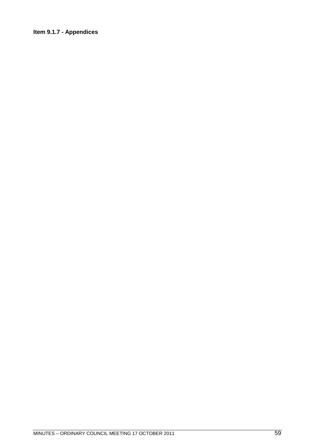### **Item 9.1.7 - Appendices**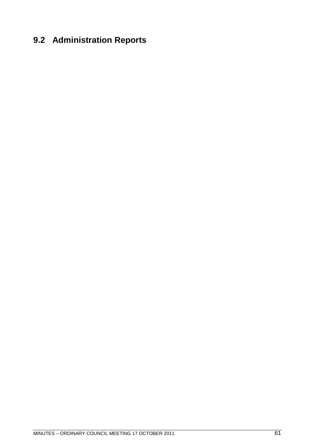## **9.2 Administration Reports**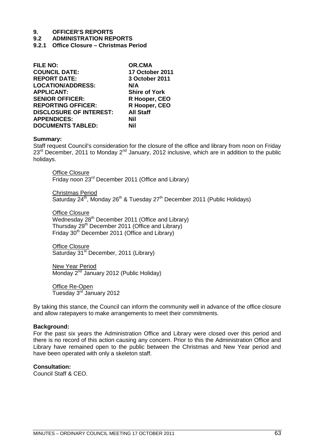# **9. OFFICER'S REPORTS**

### **9.2 ADMINISTRATION REPORTS**

**9.2.1 Office Closure – Christmas Period**

| <b>FILE NO:</b>                | <b>OR.CMA</b>          |
|--------------------------------|------------------------|
| <b>COUNCIL DATE:</b>           | <b>17 October 2011</b> |
| <b>REPORT DATE:</b>            | 3 October 2011         |
| <b>LOCATION/ADDRESS:</b>       | N/A                    |
| <b>APPLICANT:</b>              | <b>Shire of York</b>   |
| <b>SENIOR OFFICER:</b>         | R Hooper, CEO          |
| <b>REPORTING OFFICER:</b>      | R Hooper, CEO          |
| <b>DISCLOSURE OF INTEREST:</b> | <b>All Staff</b>       |
| <b>APPENDICES:</b>             | Nil                    |
| <b>DOCUMENTS TABLED:</b>       | Nil                    |

### **Summary:**

Staff request Council's consideration for the closure of the office and library from noon on Friday  $23<sup>rd</sup>$  December, 2011 to Monday  $2<sup>nd</sup>$  January, 2012 inclusive, which are in addition to the public holidays.

**Office Closure** Friday noon 23rd December 2011 (Office and Library)

Christmas Period Saturday  $24^{th}$ , Monday  $26^{th}$  & Tuesday  $27^{th}$  December 2011 (Public Holidays)

**Office Closure** Wednesday  $28<sup>th</sup>$  December 2011 (Office and Library) Thursday 29<sup>th</sup> December 2011 (Office and Library) Friday 30<sup>th</sup> December 2011 (Office and Library)

Office Closure Saturday 31<sup>st</sup> December, 2011 (Library)

New Year Period  $\overline{\text{Monday 2}^{\text{nd}}}$  January 2012 (Public Holiday)

Office Re-Open Tuesday 3rd January 2012

By taking this stance, the Council can inform the community well in advance of the office closure and allow ratepayers to make arrangements to meet their commitments.

### **Background:**

For the past six years the Administration Office and Library were closed over this period and there is no record of this action causing any concern. Prior to this the Administration Office and Library have remained open to the public between the Christmas and New Year period and have been operated with only a skeleton staff.

**Consultation:** Council Staff & CEO.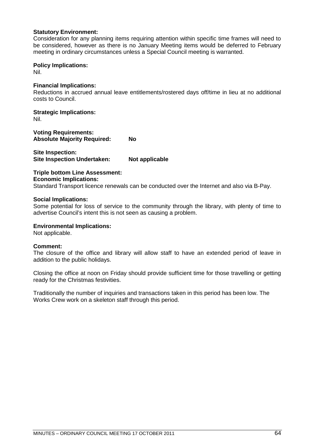### **Statutory Environment:**

Consideration for any planning items requiring attention within specific time frames will need to be considered, however as there is no January Meeting items would be deferred to February meeting in ordinary circumstances unless a Special Council meeting is warranted.

### **Policy Implications:**

Nil.

### **Financial Implications:**

Reductions in accrued annual leave entitlements/rostered days off/time in lieu at no additional costs to Council.

**Strategic Implications:**

Nil.

**Voting Requirements: Absolute Majority Required: No**

**Site Inspection: Site Inspection Undertaken: Not applicable** 

### **Triple bottom Line Assessment: Economic Implications:**

Standard Transport licence renewals can be conducted over the Internet and also via B-Pay.

### **Social Implications:**

Some potential for loss of service to the community through the library, with plenty of time to advertise Council's intent this is not seen as causing a problem.

### **Environmental Implications:**

Not applicable.

### **Comment:**

The closure of the office and library will allow staff to have an extended period of leave in addition to the public holidays.

Closing the office at noon on Friday should provide sufficient time for those travelling or getting ready for the Christmas festivities.

Traditionally the number of inquiries and transactions taken in this period has been low. The Works Crew work on a skeleton staff through this period.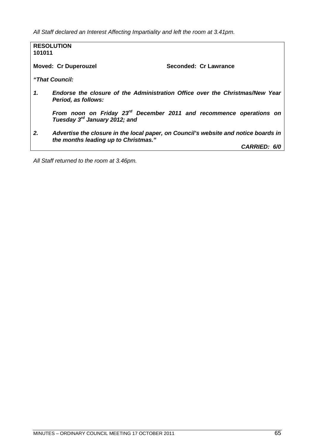*All Staff declared an Interest Affecting Impartiality and left the room at 3.41pm.*

| 101011 | <b>RESOLUTION</b>                         |                                                                                     |
|--------|-------------------------------------------|-------------------------------------------------------------------------------------|
|        | <b>Moved: Cr Duperouzel</b>               | Seconded: Cr Lawrance                                                               |
|        | "That Council:                            |                                                                                     |
| 1.     | Period, as follows:                       | Endorse the closure of the Administration Office over the Christmas/New Year        |
|        | Tuesday 3 <sup>rd</sup> January 2012; and | From noon on Friday 23 <sup>rd</sup> December 2011 and recommence operations on     |
| 2.     | the months leading up to Christmas."      | Advertise the closure in the local paper, on Council's website and notice boards in |
|        |                                           | <b>CARRIED: 6/0</b>                                                                 |

*All Staff returned to the room at 3.46pm.*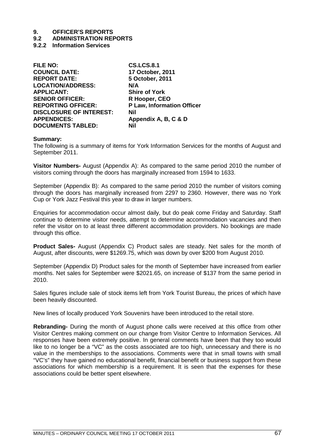# **9. OFFICER'S REPORTS**

### **9.2 ADMINISTRATION REPORTS**

**9.2.2 Information Services**

| <b>P Law, Information Officer</b> |
|-----------------------------------|
|                                   |
|                                   |
|                                   |
|                                   |

### **Summary:**

The following is a summary of items for York Information Services for the months of August and September 2011.

**Visitor Numbers-** August (Appendix A): As compared to the same period 2010 the number of visitors coming through the doors has marginally increased from 1594 to 1633.

September (Appendix B): As compared to the same period 2010 the number of visitors coming through the doors has marginally increased from 2297 to 2360. However, there was no York Cup or York Jazz Festival this year to draw in larger numbers.

Enquiries for accommodation occur almost daily, but do peak come Friday and Saturday. Staff continue to determine visitor needs, attempt to determine accommodation vacancies and then refer the visitor on to at least three different accommodation providers. No bookings are made through this office.

**Product Sales-** August (Appendix C) Product sales are steady. Net sales for the month of August, after discounts, were \$1269.75, which was down by over \$200 from August 2010.

September (Appendix D) Product sales for the month of September have increased from earlier months. Net sales for September were \$2021.65, on increase of \$137 from the same period in 2010.

Sales figures include sale of stock items left from York Tourist Bureau, the prices of which have been heavily discounted.

New lines of locally produced York Souvenirs have been introduced to the retail store.

**Rebranding-** During the month of August phone calls were received at this office from other Visitor Centres making comment on our change from Visitor Centre to Information Services. All responses have been extremely positive. In general comments have been that they too would like to no longer be a "VC" as the costs associated are too high, unnecessary and there is no value in the memberships to the associations. Comments were that in small towns with small "VC's" they have gained no educational benefit, financial benefit or business support from these associations for which membership is a requirement. It is seen that the expenses for these associations could be better spent elsewhere.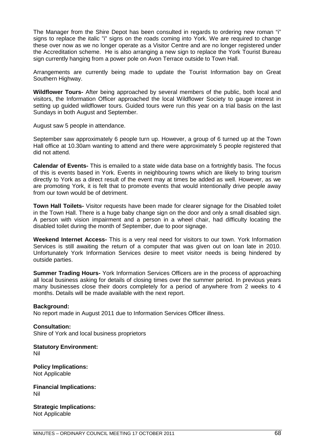The Manager from the Shire Depot has been consulted in regards to ordering new roman "i" signs to replace the italic "i" signs on the roads coming into York. We are required to change these over now as we no longer operate as a Visitor Centre and are no longer registered under the Accreditation scheme. He is also arranging a new sign to replace the York Tourist Bureau sign currently hanging from a power pole on Avon Terrace outside to Town Hall.

Arrangements are currently being made to update the Tourist Information bay on Great Southern Highway.

**Wildflower Tours-** After being approached by several members of the public, both local and visitors, the Information Officer approached the local Wildflower Society to gauge interest in setting up guided wildflower tours. Guided tours were run this year on a trial basis on the last Sundays in both August and September.

August saw 5 people in attendance.

September saw approximately 6 people turn up. However, a group of 6 turned up at the Town Hall office at 10.30am wanting to attend and there were approximately 5 people registered that did not attend.

**Calendar of Events-** This is emailed to a state wide data base on a fortnightly basis. The focus of this is events based in York. Events in neighbouring towns which are likely to bring tourism directly to York as a direct result of the event may at times be added as well. However, as we are promoting York, it is felt that to promote events that would intentionally drive people away from our town would be of detriment.

**Town Hall Toilets-** Visitor requests have been made for clearer signage for the Disabled toilet in the Town Hall. There is a huge baby change sign on the door and only a small disabled sign. A person with vision impairment and a person in a wheel chair, had difficulty locating the disabled toilet during the month of September, due to poor signage.

**Weekend Internet Access-** This is a very real need for visitors to our town. York Information Services is still awaiting the return of a computer that was given out on loan late in 2010. Unfortunately York Information Services desire to meet visitor needs is being hindered by outside parties.

**Summer Trading Hours-** York Information Services Officers are in the process of approaching all local business asking for details of closing times over the summer period. In previous years many businesses close their doors completely for a period of anywhere from 2 weeks to 4 months. Details will be made available with the next report.

### **Background:**

No report made in August 2011 due to Information Services Officer illness.

**Consultation:** Shire of York and local business proprietors

**Statutory Environment:** Nil

**Policy Implications:** Not Applicable

**Financial Implications:** Nil

**Strategic Implications:** Not Applicable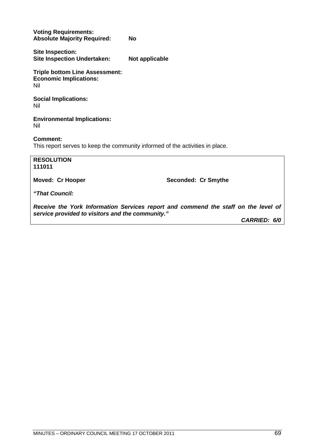**Voting Requirements: Absolute Majority Required: No**

**Site Inspection: Site Inspection Undertaken: Not applicable**

**Triple bottom Line Assessment: Economic Implications:** Nil

**Social Implications:** Nil

**Environmental Implications:** Nil

### **Comment:**

This report serves to keep the community informed of the activities in place.

**RESOLUTION 111011**

Moved: Cr Hooper Seconded: Cr Smythe

*"That Council:*

*Receive the York Information Services report and commend the staff on the level of service provided to visitors and the community."*

*CARRIED: 6/0*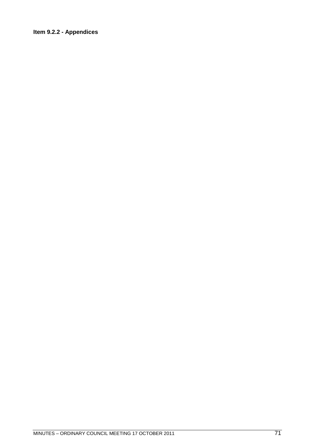### **Item 9.2.2 - Appendices**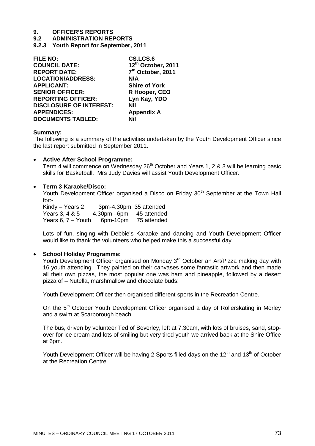**9.2 ADMINISTRATION REPORTS**

**9.2.3 Youth Report for September, 2011**

| CS.LCS.6             |
|----------------------|
| 12th October, 2011   |
| 7th October, 2011    |
| N/A                  |
| <b>Shire of York</b> |
| R Hooper, CEO        |
| Lyn Kay, YDO         |
| Nil                  |
| <b>Appendix A</b>    |
| Nil                  |
|                      |

#### **Summary:**

The following is a summary of the activities undertaken by the Youth Development Officer since the last report submitted in September 2011.

## **Active After School Programme:**

Term 4 will commence on Wednesday 26<sup>th</sup> October and Years 1, 2 & 3 will be learning basic skills for Basketball. Mrs Judy Davies will assist Youth Development Officer.

## **Term 3 Karaoke/Disco:**

Youth Development Officer organised a Disco on Friday 30<sup>th</sup> September at the Town Hall for:-

Kindy – Years 2  $3pm-4.30pm$  35 attended<br>Years 3. 4 & 5  $4.30pm$  –6pm  $45$  attended 4.30pm –6pm 45 attended Years 6, 7 – Youth 6pm-10pm 75 attended

Lots of fun, singing with Debbie's Karaoke and dancing and Youth Development Officer would like to thank the volunteers who helped make this a successful day.

# **School Holiday Programme:**

Youth Development Officer organised on Monday 3<sup>rd</sup> October an Art/Pizza making day with 16 youth attending. They painted on their canvases some fantastic artwork and then made all their own pizzas, the most popular one was ham and pineapple, followed by a desert pizza of – Nutella, marshmallow and chocolate buds!

Youth Development Officer then organised different sports in the Recreation Centre.

On the 5<sup>th</sup> October Youth Development Officer organised a day of Rollerskating in Morley and a swim at Scarborough beach.

The bus, driven by volunteer Ted of Beverley, left at 7.30am, with lots of bruises, sand, stopover for ice cream and lots of smiling but very tired youth we arrived back at the Shire Office at 6pm.

Youth Development Officer will be having 2 Sports filled days on the  $12<sup>th</sup>$  and  $13<sup>th</sup>$  of October at the Recreation Centre.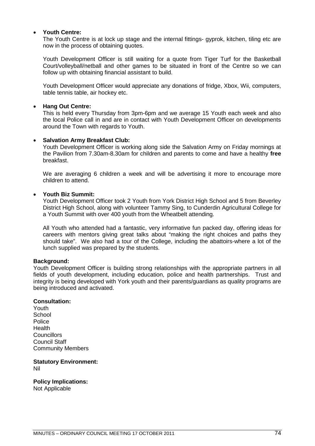# **Youth Centre:**

The Youth Centre is at lock up stage and the internal fittings- gyprok, kitchen, tiling etc are now in the process of obtaining quotes.

Youth Development Officer is still waiting for a quote from Tiger Turf for the Basketball Court/volleyball/netball and other games to be situated in front of the Centre so we can follow up with obtaining financial assistant to build.

Youth Development Officer would appreciate any donations of fridge, Xbox, Wii, computers, table tennis table, air hockey etc.

# **Hang Out Centre:**

This is held every Thursday from 3pm-6pm and we average 15 Youth each week and also the local Police call in and are in contact with Youth Development Officer on developments around the Town with regards to Youth.

## **Salvation Army Breakfast Club:**

Youth Development Officer is working along side the Salvation Army on Friday mornings at the Pavilion from 7.30am-8.30am for children and parents to come and have a healthy **free** breakfast.

We are averaging 6 children a week and will be advertising it more to encourage more children to attend.

# **Youth Biz Summit:**

Youth Development Officer took 2 Youth from York District High School and 5 from Beverley District High School, along with volunteer Tammy Sing, to Cunderdin Agricultural College for a Youth Summit with over 400 youth from the Wheatbelt attending.

All Youth who attended had a fantastic, very informative fun packed day, offering ideas for careers with mentors giving great talks about "making the right choices and paths they should take". We also had a tour of the College, including the abattoirs-where a lot of the lunch supplied was prepared by the students.

# **Background:**

Youth Development Officer is building strong relationships with the appropriate partners in all fields of youth development, including education, police and health partnerships. Trust and integrity is being developed with York youth and their parents/guardians as quality programs are being introduced and activated.

#### **Consultation:**

Youth **School Police** Health **Councillors** Council Staff Community Members

**Statutory Environment:** Nil

**Policy Implications:**

Not Applicable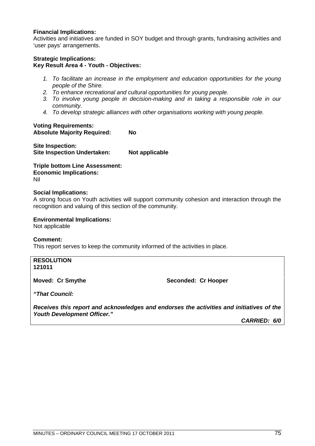# **Financial Implications:**

Activities and initiatives are funded in SOY budget and through grants, fundraising activities and 'user pays' arrangements.

# **Strategic Implications:**

# **Key Result Area 4 - Youth - Objectives:**

- *1. To facilitate an increase in the employment and education opportunities for the young people of the Shire.*
- *2. To enhance recreational and cultural opportunities for young people.*
- *3. To involve young people in decision-making and in taking a responsible role in our community.*
- *4. To develop strategic alliances with other organisations working with young people.*

# **Voting Requirements:**

**Absolute Majority Required: No**

**Site Inspection: Site Inspection Undertaken: Not applicable** 

**Triple bottom Line Assessment: Economic Implications:** Nil

#### **Social Implications:**

A strong focus on Youth activities will support community cohesion and interaction through the recognition and valuing of this section of the community.

**Environmental Implications:**

Not applicable

# **Comment:**

This report serves to keep the community informed of the activities in place.

**RESOLUTION 121011**

**Moved: Cr Smythe Seconded: Cr Hooper** 

*"That Council:*

*Receives this report and acknowledges and endorses the activities and initiatives of the Youth Development Officer."*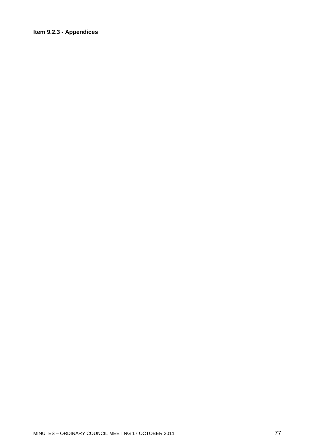# Item 9.2.3 - Appendices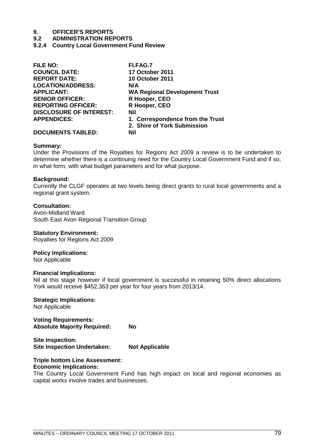### **9.2 ADMINISTRATION REPORTS**

**9.2.4 Country Local Government Fund Review**

| <b>FILE NO:</b>                | FI.FAG.7                             |
|--------------------------------|--------------------------------------|
| <b>COUNCIL DATE:</b>           | <b>17 October 2011</b>               |
| <b>REPORT DATE:</b>            | <b>10 October 2011</b>               |
| <b>LOCATION/ADDRESS:</b>       | N/A                                  |
| <b>APPLICANT:</b>              | <b>WA Regional Development Trust</b> |
| <b>SENIOR OFFICER:</b>         | R Hooper, CEO                        |
| <b>REPORTING OFFICER:</b>      | R Hooper, CEO                        |
| <b>DISCLOSURE OF INTEREST:</b> | Nil                                  |
| <b>APPENDICES:</b>             | 1. Correspondence from the Trust     |
|                                | 2. Shire of York Submission          |
| <b>DOCUMENTS TABLED:</b>       | Nil                                  |
|                                |                                      |

#### **Summary:**

Under the Provisions of the Royalties for Regions Act 2009 a review is to be undertaken to determine whether there is a continuing need for the Country Local Government Fund and if so, in what form, with what budget parameters and for what purpose.

#### **Background:**

Currently the CLGF operates at two levels being direct grants to rural local governments and a regional grant system.

## **Consultation:**

Avon-Midland Ward South East Avon Regional Transition Group

#### **Statutory Environment:**

Royalties for Regions Act 2009

## **Policy Implications:**

Not Applicable

#### **Financial Implications:**

Nil at this stage however if local government is successful in retaining 50% direct allocations York would receive \$452,363 per year for four years from 2013/14.

**Strategic Implications:**

Not Applicable

**Voting Requirements: Absolute Majority Required: No**

**Site Inspection: Site Inspection Undertaken: Not Applicable**

#### **Triple bottom Line Assessment: Economic Implications:**

The Country Local Government Fund has high impact on local and regional economies as capital works involve trades and businesses.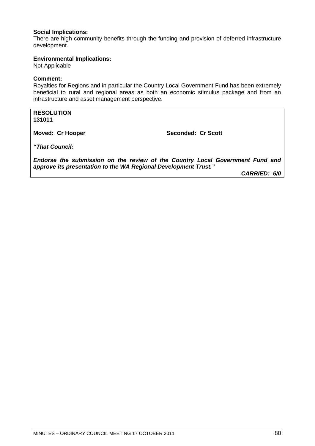# **Social Implications:**

There are high community benefits through the funding and provision of deferred infrastructure development.

## **Environmental Implications:**

Not Applicable

# **Comment:**

Royalties for Regions and in particular the Country Local Government Fund has been extremely beneficial to rural and regional areas as both an economic stimulus package and from an infrastructure and asset management perspective.

**RESOLUTION 131011**

**Moved: Cr Hooper Seconded: Cr Scott** 

*"That Council:*

*Endorse the submission on the review of the Country Local Government Fund and approve its presentation to the WA Regional Development Trust."*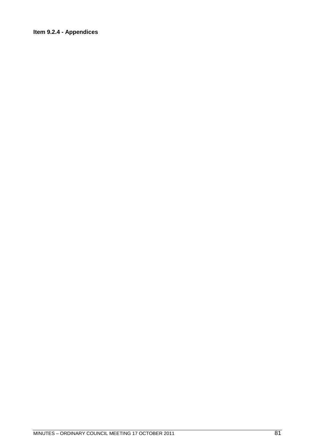# Item 9.2.4 - Appendices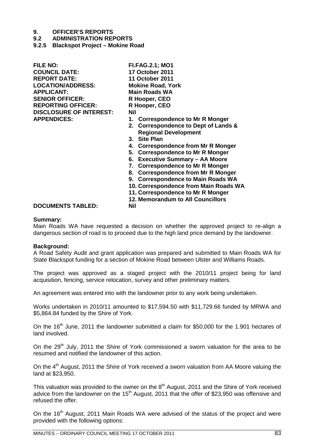- **9.2 ADMINISTRATION REPORTS**
- **9.2.5 Blackspot Project Mokine Road**

**FILE NO: FI.FAG.2.1; MO1 COUNCIL DATE: 17 October 2011 LOCATION/ADDRESS: Mokine Road, York APPLICANT: Main Roads WA** SENIOR OFFICER: R Hooper, CEO **REPORTING OFFICER: R Hooper, CEO DISCLOSURE OF INTEREST: Nil**

**REPORT DATE: 11 October 2011**

- **APPENDICES: 1. Correspondence to Mr R Monger**
	- **2. Correspondence to Dept of Lands & Regional Development**
	- **3. Site Plan**
	- **4. Correspondence from Mr R Monger**
	- **5. Correspondence to Mr R Monger**
	- **6. Executive Summary AA Moore**
	- **7. Correspondence to Mr R Monger**
	- **8. Correspondence from Mr R Monger**
	- **9. Correspondence to Main Roads WA**
	- **10. Correspondence from Main Roads WA**
	- **11. Correspondence to Mr R Monger**
	- **12. Memorandum to All Councillors**

## **DOCUMENTS TABLED: Nil**

# **Summary:**

Main Roads WA have requested a decision on whether the approved project to re-align a dangerous section of road is to proceed due to the high land price demand by the landowner.

#### **Background:**

A Road Safety Audit and grant application was prepared and submitted to Main Roads WA for State Blackspot funding for a section of Mokine Road between Ulster and Williams Roads.

The project was approved as a staged project with the 2010/11 project being for land acquisition, fencing, service relocation, survey and other preliminary matters.

An agreement was entered into with the landowner prior to any work being undertaken.

Works undertaken in 2010/11 amounted to \$17,594.50 with \$11,729.66 funded by MRWA and \$5,864.84 funded by the Shire of York.

On the 16<sup>th</sup> June, 2011 the landowner submitted a claim for \$50,000 for the 1.901 hectares of land involved.

On the 29<sup>th</sup> July, 2011 the Shire of York commissioned a sworn valuation for the area to be resumed and notified the landowner of this action.

On the 4<sup>th</sup> August, 2011 the Shire of York received a sworn valuation from AA Moore valuing the land at \$23,950.

This valuation was provided to the owner on the 8<sup>th</sup> August, 2011 and the Shire of York received advice from the landowner on the  $15<sup>th</sup>$  August, 2011 that the offer of \$23,950 was offensive and refused the offer.

On the 16<sup>th</sup> August, 2011 Main Roads WA were advised of the status of the project and were provided with the following options: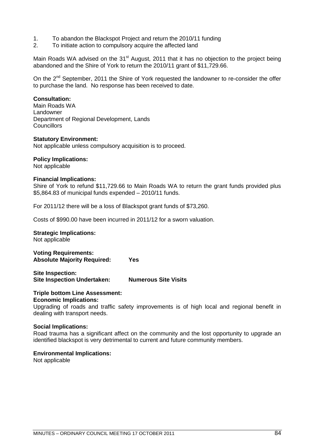- 1. To abandon the Blackspot Project and return the 2010/11 funding
- 2. To initiate action to compulsory acquire the affected land

Main Roads WA advised on the 31<sup>st</sup> August, 2011 that it has no objection to the project being abandoned and the Shire of York to return the 2010/11 grant of \$11,729.66.

On the 2<sup>nd</sup> September, 2011 the Shire of York requested the landowner to re-consider the offer to purchase the land. No response has been received to date.

# **Consultation:**

Main Roads WA Landowner Department of Regional Development, Lands **Councillors** 

#### **Statutory Environment:**

Not applicable unless compulsory acquisition is to proceed.

#### **Policy Implications:**

Not applicable

#### **Financial Implications:**

Shire of York to refund \$11,729.66 to Main Roads WA to return the grant funds provided plus \$5,864.83 of municipal funds expended – 2010/11 funds.

For 2011/12 there will be a loss of Blackspot grant funds of \$73,260.

Costs of \$990.00 have been incurred in 2011/12 for a sworn valuation.

#### **Strategic Implications:**

Not applicable

**Voting Requirements: Absolute Majority Required: Yes**

**Site Inspection: Site Inspection Undertaken: Numerous Site Visits**

#### **Triple bottom Line Assessment: Economic Implications:**

Upgrading of roads and traffic safety improvements is of high local and regional benefit in dealing with transport needs.

#### **Social Implications:**

Road trauma has a significant affect on the community and the lost opportunity to upgrade an identified blackspot is very detrimental to current and future community members.

### **Environmental Implications:**

Not applicable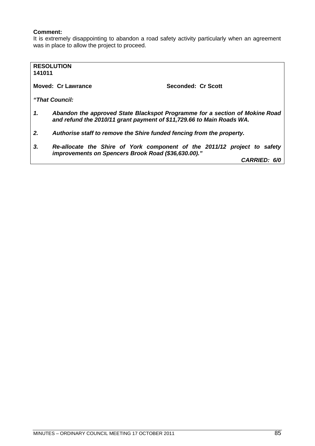# **Comment:**

It is extremely disappointing to abandon a road safety activity particularly when an agreement was in place to allow the project to proceed.

| 141011                                                                                                                                                     | <b>RESOLUTION</b>         |                     |
|------------------------------------------------------------------------------------------------------------------------------------------------------------|---------------------------|---------------------|
|                                                                                                                                                            | <b>Moved: Cr Lawrance</b> | Seconded: Cr Scott  |
|                                                                                                                                                            | "That Council:            |                     |
| 1.<br>Abandon the approved State Blackspot Programme for a section of Mokine Road<br>and refund the 2010/11 grant payment of \$11,729.66 to Main Roads WA. |                           |                     |
| Authorise staff to remove the Shire funded fencing from the property.<br>2.                                                                                |                           |                     |
| 3.<br>Re-allocate the Shire of York component of the 2011/12 project to safety<br>improvements on Spencers Brook Road (\$36,630.00)."                      |                           |                     |
|                                                                                                                                                            |                           | <b>CARRIED: 6/0</b> |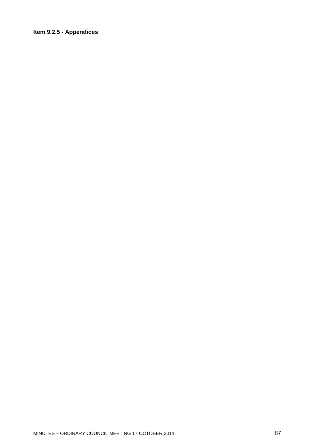# Item 9.2.5 - Appendices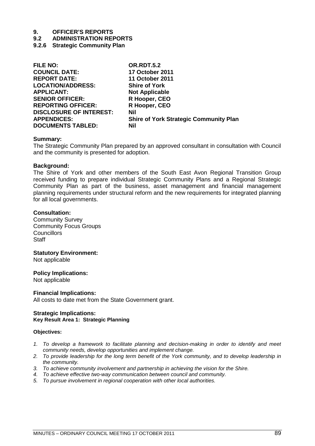**9.2 ADMINISTRATION REPORTS**

## **9.2.6 Strategic Community Plan**

| <b>FILE NO:</b>                | <b>OR.RDT.5.2</b>                             |
|--------------------------------|-----------------------------------------------|
| <b>COUNCIL DATE:</b>           | <b>17 October 2011</b>                        |
| <b>REPORT DATE:</b>            | <b>11 October 2011</b>                        |
| <b>LOCATION/ADDRESS:</b>       | <b>Shire of York</b>                          |
| <b>APPLICANT:</b>              | <b>Not Applicable</b>                         |
| <b>SENIOR OFFICER:</b>         | R Hooper, CEO                                 |
| <b>REPORTING OFFICER:</b>      | R Hooper, CEO                                 |
| <b>DISCLOSURE OF INTEREST:</b> | Nil                                           |
| <b>APPENDICES:</b>             | <b>Shire of York Strategic Community Plan</b> |
| <b>DOCUMENTS TABLED:</b>       | Nil                                           |

#### **Summary:**

The Strategic Community Plan prepared by an approved consultant in consultation with Council and the community is presented for adoption.

#### **Background:**

The Shire of York and other members of the South East Avon Regional Transition Group received funding to prepare individual Strategic Community Plans and a Regional Strategic Community Plan as part of the business, asset management and financial management planning requirements under structural reform and the new requirements for integrated planning for all local governments.

#### **Consultation:**

Community Survey Community Focus Groups **Councillors Staff** 

#### **Statutory Environment:**

Not applicable

#### **Policy Implications:**

Not applicable

#### **Financial Implications:**

All costs to date met from the State Government grant.

#### **Strategic Implications: Key Result Area 1: Strategic Planning**

#### **Objectives:**

- *1. To develop a framework to facilitate planning and decision-making in order to identify and meet community needs, develop opportunities and implement change.*
- *2. To provide leadership for the long term benefit of the York community, and to develop leadership in the community.*
- *3. To achieve community involvement and partnership in achieving the vision for the Shire.*
- *4. To achieve effective two-way communication between council and community.*
- *5. To pursue involvement in regional cooperation with other local authorities.*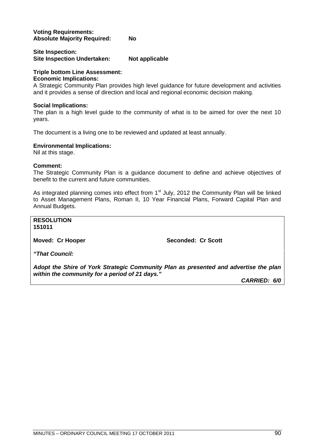## **Voting Requirements: Absolute Majority Required: No**

# **Site Inspection:** Site Inspection Undertaken: Not applicable

# **Triple bottom Line Assessment:**

# **Economic Implications:**

A Strategic Community Plan provides high level guidance for future development and activities and it provides a sense of direction and local and regional economic decision making.

# **Social Implications:**

The plan is a high level guide to the community of what is to be aimed for over the next 10 years.

The document is a living one to be reviewed and updated at least annually.

# **Environmental Implications:**

Nil at this stage.

# **Comment:**

The Strategic Community Plan is a guidance document to define and achieve objectives of benefit to the current and future communities.

As integrated planning comes into effect from  $1<sup>st</sup>$  July, 2012 the Community Plan will be linked to Asset Management Plans, Roman II, 10 Year Financial Plans, Forward Capital Plan and Annual Budgets.

**RESOLUTION 151011**

**Moved: Cr Hooper Seconded: Cr Scott** 

*"That Council:*

*Adopt the Shire of York Strategic Community Plan as presented and advertise the plan within the community for a period of 21 days."*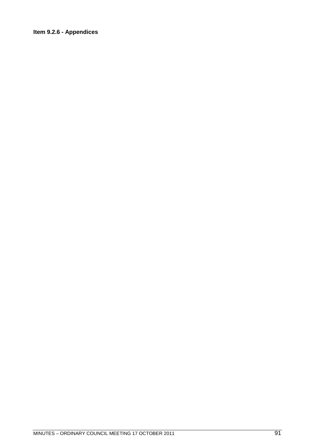# Item 9.2.6 - Appendices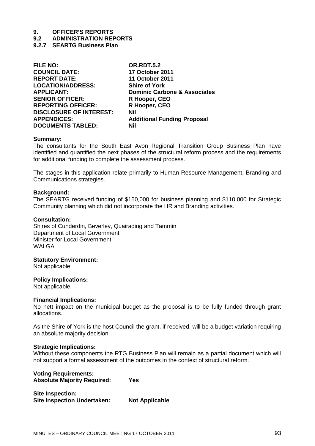# **9.2 ADMINISTRATION REPORTS**

# **9.2.7 SEARTG Business Plan**

| <b>FILE NO:</b>                | <b>OR.RDT.5.2</b>                       |
|--------------------------------|-----------------------------------------|
| <b>COUNCIL DATE:</b>           | <b>17 October 2011</b>                  |
| <b>REPORT DATE:</b>            | <b>11 October 2011</b>                  |
| <b>LOCATION/ADDRESS:</b>       | <b>Shire of York</b>                    |
| <b>APPLICANT:</b>              | <b>Dominic Carbone &amp; Associates</b> |
| <b>SENIOR OFFICER:</b>         | R Hooper, CEO                           |
| <b>REPORTING OFFICER:</b>      | R Hooper, CEO                           |
| <b>DISCLOSURE OF INTEREST:</b> | Nil                                     |
| <b>APPENDICES:</b>             | <b>Additional Funding Proposal</b>      |
| <b>DOCUMENTS TABLED:</b>       | Nil                                     |
|                                |                                         |

#### **Summary:**

The consultants for the South East Avon Regional Transition Group Business Plan have identified and quantified the next phases of the structural reform process and the requirements for additional funding to complete the assessment process.

The stages in this application relate primarily to Human Resource Management, Branding and Communications strategies.

#### **Background:**

The SEARTG received funding of \$150,000 for business planning and \$110,000 for Strategic Community planning which did not incorporate the HR and Branding activities.

### **Consultation:**

Shires of Cunderdin, Beverley, Quairading and Tammin Department of Local Government Minister for Local Government WAI GA

#### **Statutory Environment:**

Not applicable

#### **Policy Implications:**

Not applicable

#### **Financial Implications:**

No nett impact on the municipal budget as the proposal is to be fully funded through grant allocations.

As the Shire of York is the host Council the grant, if received, will be a budget variation requiring an absolute majority decision.

#### **Strategic Implications:**

Without these components the RTG Business Plan will remain as a partial document which will not support a formal assessment of the outcomes in the context of structural reform.

# **Voting Requirements: Absolute Majority Required: Yes**

| Site Inspection:                   |                       |
|------------------------------------|-----------------------|
| <b>Site Inspection Undertaken:</b> | <b>Not Applicable</b> |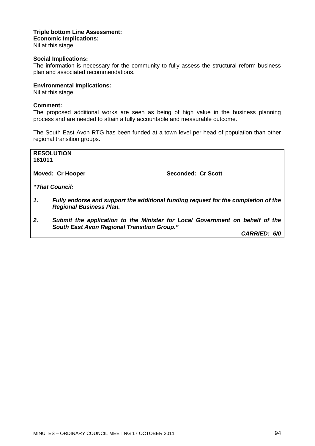# **Triple bottom Line Assessment: Economic Implications:**

Nil at this stage

## **Social Implications:**

The information is necessary for the community to fully assess the structural reform business plan and associated recommendations.

# **Environmental Implications:**

Nil at this stage

### **Comment:**

The proposed additional works are seen as being of high value in the business planning process and are needed to attain a fully accountable and measurable outcome.

The South East Avon RTG has been funded at a town level per head of population than other regional transition groups.

**RESOLUTION 161011**

Moved: Cr Hooper Seconded: Cr Scott

*"That Council:*

- *1. Fully endorse and support the additional funding request for the completion of the Regional Business Plan.*
- *2. Submit the application to the Minister for Local Government on behalf of the South East Avon Regional Transition Group."*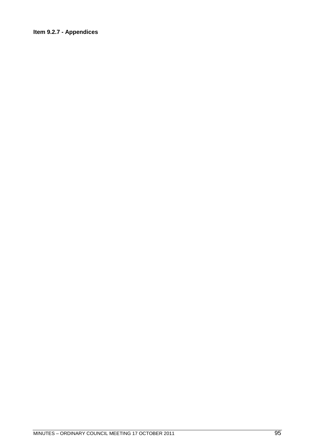# Item 9.2.7 - Appendices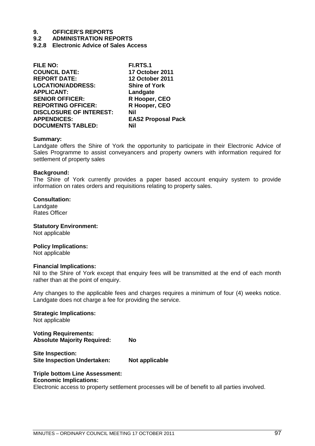- **9.2 ADMINISTRATION REPORTS**
- **9.2.8 Electronic Advice of Sales Access**

| <b>FILE NO:</b>                | <b>FI.RTS.1</b>           |
|--------------------------------|---------------------------|
| <b>COUNCIL DATE:</b>           | <b>17 October 2011</b>    |
| <b>REPORT DATE:</b>            | <b>12 October 2011</b>    |
| <b>LOCATION/ADDRESS:</b>       | <b>Shire of York</b>      |
| <b>APPLICANT:</b>              | Landgate                  |
| <b>SENIOR OFFICER:</b>         | R Hooper, CEO             |
| <b>REPORTING OFFICER:</b>      | R Hooper, CEO             |
| <b>DISCLOSURE OF INTEREST:</b> | Nil                       |
| <b>APPENDICES:</b>             | <b>EAS2 Proposal Pack</b> |
| <b>DOCUMENTS TABLED:</b>       | Nil                       |
|                                |                           |

#### **Summary:**

Landgate offers the Shire of York the opportunity to participate in their Electronic Advice of Sales Programme to assist conveyancers and property owners with information required for settlement of property sales

#### **Background:**

The Shire of York currently provides a paper based account enquiry system to provide information on rates orders and requisitions relating to property sales.

## **Consultation:**

Landgate Rates Officer

**Statutory Environment:** Not applicable

# **Policy Implications:**

Not applicable

#### **Financial Implications:**

Nil to the Shire of York except that enquiry fees will be transmitted at the end of each month rather than at the point of enquiry.

Any changes to the applicable fees and charges requires a minimum of four (4) weeks notice. Landgate does not charge a fee for providing the service.

#### **Strategic Implications:**

Not applicable

**Voting Requirements: Absolute Majority Required: No**

**Site Inspection: Site Inspection Undertaken: Not applicable**

# **Triple bottom Line Assessment:**

# **Economic Implications:**

Electronic access to property settlement processes will be of benefit to all parties involved.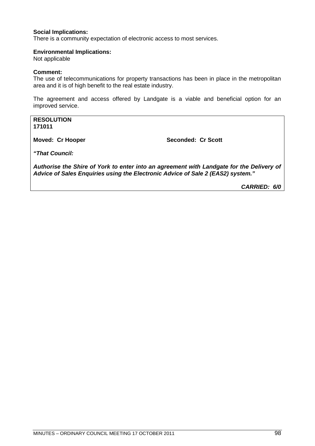# **Social Implications:**

There is a community expectation of electronic access to most services.

### **Environmental Implications:**

Not applicable

# **Comment:**

The use of telecommunications for property transactions has been in place in the metropolitan area and it is of high benefit to the real estate industry.

The agreement and access offered by Landgate is a viable and beneficial option for an improved service.

## **RESOLUTION 171011**

**Moved: Cr Hooper Seconded: Cr Scott** 

*"That Council:*

*Authorise the Shire of York to enter into an agreement with Landgate for the Delivery of Advice of Sales Enquiries using the Electronic Advice of Sale 2 (EAS2) system."*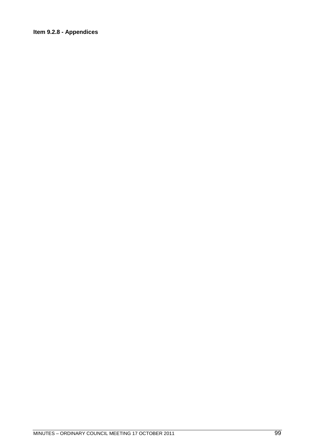# Item 9.2.8 - Appendices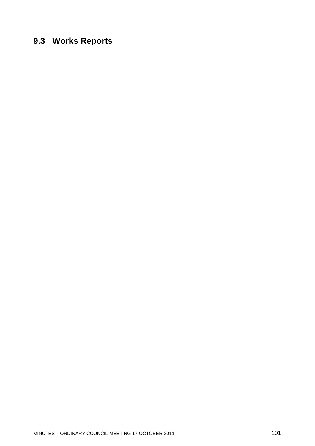# **9.3 Works Reports**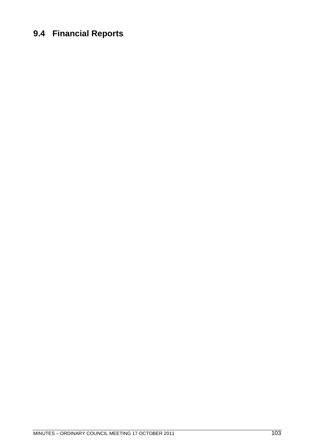# **9.4 Financial Reports**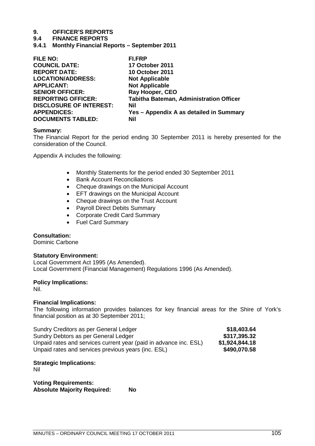## **9.4 FINANCE REPORTS**

**9.4.1 Monthly Financial Reports – September 2011**

| <b>FILE NO:</b>                | <b>FI.FRP</b>                                  |
|--------------------------------|------------------------------------------------|
| <b>COUNCIL DATE:</b>           | <b>17 October 2011</b>                         |
| <b>REPORT DATE:</b>            | <b>10 October 2011</b>                         |
| <b>LOCATION/ADDRESS:</b>       | <b>Not Applicable</b>                          |
| <b>APPLICANT:</b>              | <b>Not Applicable</b>                          |
| <b>SENIOR OFFICER:</b>         | Ray Hooper, CEO                                |
| <b>REPORTING OFFICER:</b>      | <b>Tabitha Bateman, Administration Officer</b> |
| <b>DISCLOSURE OF INTEREST:</b> | Nil                                            |
| <b>APPENDICES:</b>             | Yes - Appendix A as detailed in Summary        |
| <b>DOCUMENTS TABLED:</b>       | Nil                                            |
|                                |                                                |

#### **Summary:**

The Financial Report for the period ending 30 September 2011 is hereby presented for the consideration of the Council.

Appendix A includes the following:

- Monthly Statements for the period ended 30 September 2011
- Bank Account Reconciliations
- Cheque drawings on the Municipal Account
- **EFT drawings on the Municipal Account**
- Cheque drawings on the Trust Account
- Payroll Direct Debits Summary
- Corporate Credit Card Summary
- Fuel Card Summary

#### **Consultation:**

Dominic Carbone

#### **Statutory Environment:**

Local Government Act 1995 (As Amended). Local Government (Financial Management) Regulations 1996 (As Amended).

#### **Policy Implications:**

Nil.

#### **Financial Implications:**

The following information provides balances for key financial areas for the Shire of York's financial position as at 30 September 2011;

| Sundry Creditors as per General Ledger                            | \$18,403.64    |
|-------------------------------------------------------------------|----------------|
| Sundry Debtors as per General Ledger                              | \$317,395.32   |
| Unpaid rates and services current year (paid in advance inc. ESL) | \$1,924,844.18 |
| Unpaid rates and services previous years (inc. ESL)               | \$490,070.58   |

# **Strategic Implications:**

Nil

**Voting Requirements: Absolute Majority Required: No**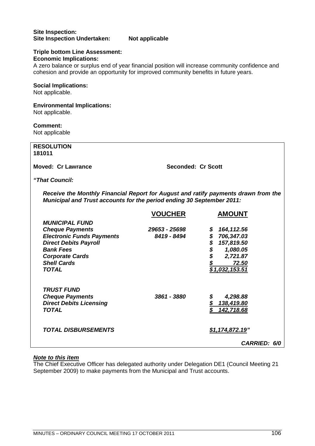# **Site Inspection: Site Inspection Undertaken: Not applicable**

#### **Triple bottom Line Assessment: Economic Implications:**

A zero balance or surplus end of year financial position will increase community confidence and cohesion and provide an opportunity for improved community benefits in future years.

# **Social Implications:**

Not applicable.

# **Environmental Implications:**

Not applicable.

# **Comment:**

Not applicable

| <b>RESOLUTION</b><br>181011                                                                                                                                                                             |                              |                                                                                                           |
|---------------------------------------------------------------------------------------------------------------------------------------------------------------------------------------------------------|------------------------------|-----------------------------------------------------------------------------------------------------------|
| <b>Moved: Cr Lawrance</b>                                                                                                                                                                               | <b>Seconded: Cr Scott</b>    |                                                                                                           |
| "That Council:                                                                                                                                                                                          |                              |                                                                                                           |
| Receive the Monthly Financial Report for August and ratify payments drawn from the<br>Municipal and Trust accounts for the period ending 30 September 2011:                                             |                              |                                                                                                           |
|                                                                                                                                                                                                         | <b>VOUCHER</b>               | <b>AMOUNT</b>                                                                                             |
| <b>MUNICIPAL FUND</b><br><b>Cheque Payments</b><br><b>Electronic Funds Payments</b><br><b>Direct Debits Payroll</b><br><b>Bank Fees</b><br><b>Corporate Cards</b><br><b>Shell Cards</b><br><b>TOTAL</b> | 29653 - 25698<br>8419 - 8494 | \$164,112.56<br>\$706,347.03<br>\$\$\$\$<br>157,819.50<br>1,080.05<br>2,721.87<br>72.50<br>\$1,032,153.51 |
| <b>TRUST FUND</b><br><b>Cheque Payments</b><br><b>Direct Debits Licensing</b><br><b>TOTAL</b>                                                                                                           | 3861 - 3880                  | 4,298.88<br>$\frac{$138,419.80}{$142,718.68}$<br>142,718.68                                               |
| <b>TOTAL DISBURSEMENTS</b>                                                                                                                                                                              |                              | \$1,174,872.19"<br>CARRIED: 6/0                                                                           |

# *Note to this item*

The Chief Executive Officer has delegated authority under Delegation DE1 (Council Meeting 21 September 2009) to make payments from the Municipal and Trust accounts.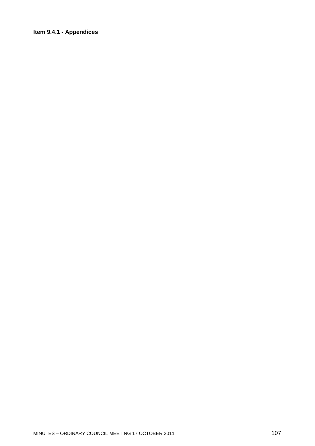# Item 9.4.1 - Appendices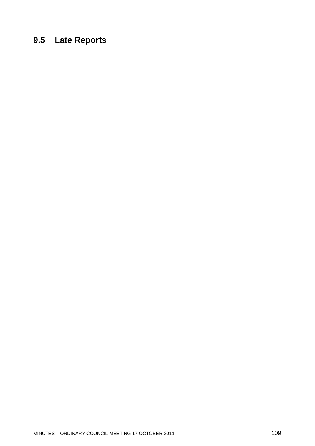## **9.5 Late Reports**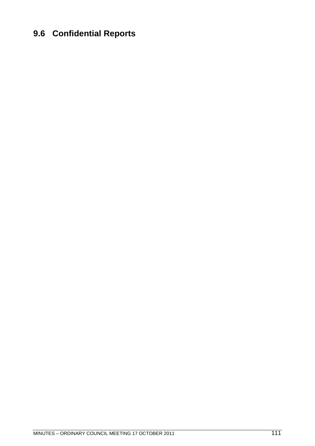## **9.6 Confidential Reports**